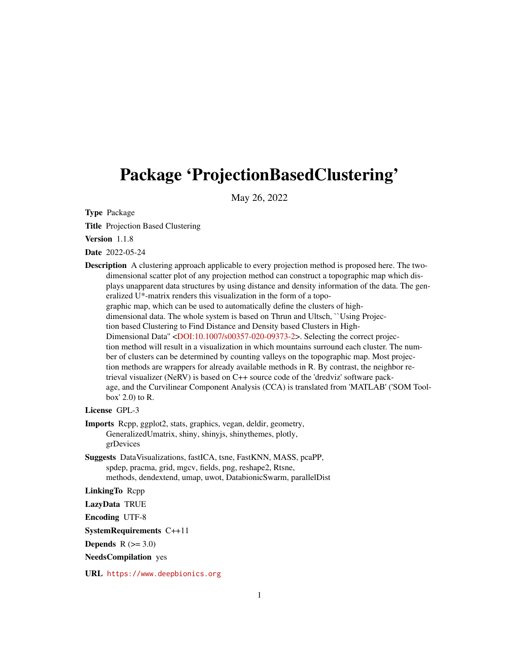# <span id="page-0-0"></span>Package 'ProjectionBasedClustering'

May 26, 2022

Type Package

Title Projection Based Clustering

Version 1.1.8

Date 2022-05-24

Description A clustering approach applicable to every projection method is proposed here. The twodimensional scatter plot of any projection method can construct a topographic map which displays unapparent data structures by using distance and density information of the data. The generalized U\*-matrix renders this visualization in the form of a topographic map, which can be used to automatically define the clusters of highdimensional data. The whole system is based on Thrun and Ultsch, ``Using Projection based Clustering to Find Distance and Density based Clusters in High-Dimensional Data'' [<DOI:10.1007/s00357-020-09373-2>](https://doi.org/10.1007/s00357-020-09373-2). Selecting the correct projection method will result in a visualization in which mountains surround each cluster. The number of clusters can be determined by counting valleys on the topographic map. Most projection methods are wrappers for already available methods in R. By contrast, the neighbor retrieval visualizer (NeRV) is based on C++ source code of the 'dredviz' software package, and the Curvilinear Component Analysis (CCA) is translated from 'MATLAB' ('SOM Toolbox' 2.0) to R.

License GPL-3

Imports Rcpp, ggplot2, stats, graphics, vegan, deldir, geometry, GeneralizedUmatrix, shiny, shinyjs, shinythemes, plotly, grDevices

Suggests DataVisualizations, fastICA, tsne, FastKNN, MASS, pcaPP, spdep, pracma, grid, mgcv, fields, png, reshape2, Rtsne, methods, dendextend, umap, uwot, DatabionicSwarm, parallelDist

LinkingTo Rcpp

LazyData TRUE

Encoding UTF-8

SystemRequirements C++11

Depends  $R$  ( $>= 3.0$ )

NeedsCompilation yes

URL <https://www.deepbionics.org>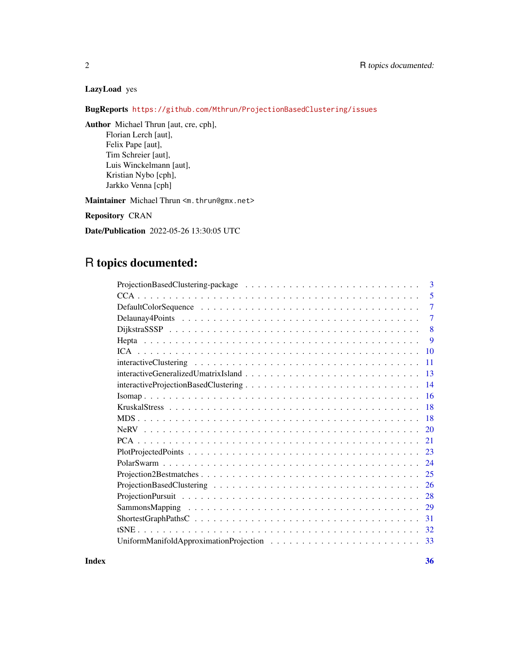# LazyLoad yes

BugReports <https://github.com/Mthrun/ProjectionBasedClustering/issues>

Author Michael Thrun [aut, cre, cph], Florian Lerch [aut], Felix Pape [aut], Tim Schreier [aut], Luis Winckelmann [aut], Kristian Nybo [cph], Jarkko Venna [cph]

Maintainer Michael Thrun <m.thrun@gmx.net>

Repository CRAN

Date/Publication 2022-05-26 13:30:05 UTC

# R topics documented:

| 3              |
|----------------|
| 5              |
| $\overline{7}$ |
| $\overline{7}$ |
| 8              |
| 9              |
| 10             |
| 11             |
| 13             |
| 14             |
| 16             |
| 18             |
| <b>18</b>      |
| 20             |
| 21             |
| 23             |
| 24             |
| 25             |
| 26             |
| 28             |
| 29             |
| 31             |
| 32             |
| 33             |

**Index** [36](#page-35-0)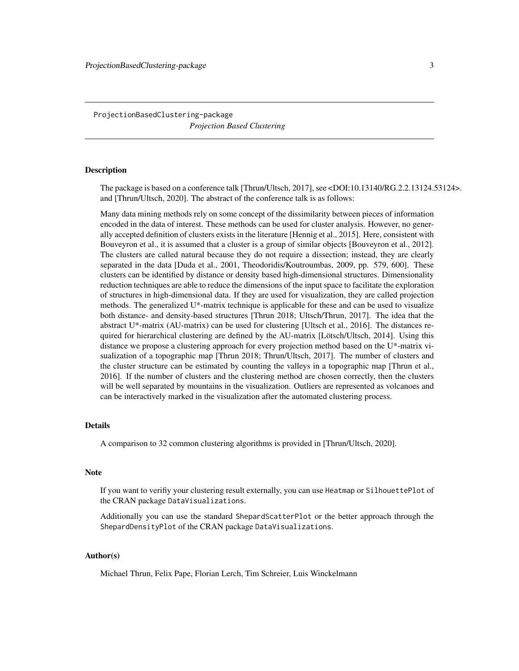# <span id="page-2-0"></span>ProjectionBasedClustering-package *Projection Based Clustering*

#### **Description**

The package is based on a conference talk [Thrun/Ultsch, 2017], see <DOI:10.13140/RG.2.2.13124.53124>. and [Thrun/Ultsch, 2020]. The abstract of the conference talk is as follows:

Many data mining methods rely on some concept of the dissimilarity between pieces of information encoded in the data of interest. These methods can be used for cluster analysis. However, no generally accepted definition of clusters exists in the literature [Hennig et al., 2015]. Here, consistent with Bouveyron et al., it is assumed that a cluster is a group of similar objects [Bouveyron et al., 2012]. The clusters are called natural because they do not require a dissection; instead, they are clearly separated in the data [Duda et al., 2001, Theodoridis/Koutroumbas, 2009, pp. 579, 600]. These clusters can be identified by distance or density based high-dimensional structures. Dimensionality reduction techniques are able to reduce the dimensions of the input space to facilitate the exploration of structures in high-dimensional data. If they are used for visualization, they are called projection methods. The generalized U\*-matrix technique is applicable for these and can be used to visualize both distance- and density-based structures [Thrun 2018; Ultsch/Thrun, 2017]. The idea that the abstract U\*-matrix (AU-matrix) can be used for clustering [Ultsch et al., 2016]. The distances required for hierarchical clustering are defined by the AU-matrix [Lötsch/Ultsch, 2014]. Using this distance we propose a clustering approach for every projection method based on the U\*-matrix visualization of a topographic map [Thrun 2018; Thrun/Ultsch, 2017]. The number of clusters and the cluster structure can be estimated by counting the valleys in a topographic map [Thrun et al., 2016]. If the number of clusters and the clustering method are chosen correctly, then the clusters will be well separated by mountains in the visualization. Outliers are represented as volcanoes and can be interactively marked in the visualization after the automated clustering process.

#### Details

A comparison to 32 common clustering algorithms is provided in [Thrun/Ultsch, 2020].

#### **Note**

If you want to verifiy your clustering result externally, you can use Heatmap or SilhouettePlot of the CRAN package DataVisualizations.

Additionally you can use the standard ShepardScatterPlot or the better approach through the ShepardDensityPlot of the CRAN package DataVisualizations.

#### Author(s)

Michael Thrun, Felix Pape, Florian Lerch, Tim Schreier, Luis Winckelmann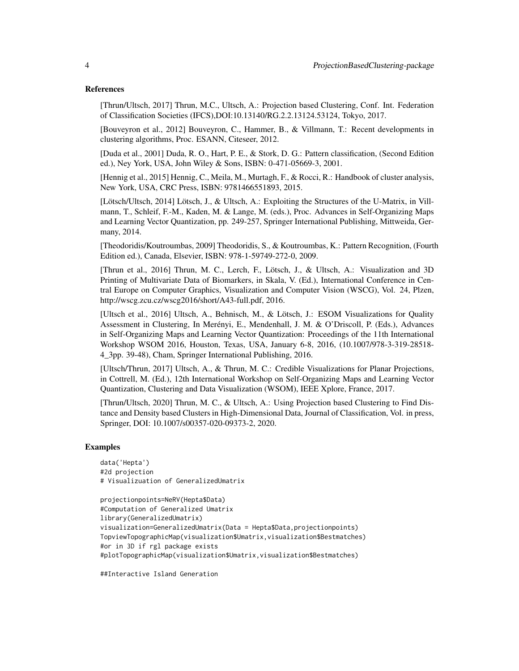#### References

[Thrun/Ultsch, 2017] Thrun, M.C., Ultsch, A.: Projection based Clustering, Conf. Int. Federation of Classification Societies (IFCS),DOI:10.13140/RG.2.2.13124.53124, Tokyo, 2017.

[Bouveyron et al., 2012] Bouveyron, C., Hammer, B., & Villmann, T.: Recent developments in clustering algorithms, Proc. ESANN, Citeseer, 2012.

[Duda et al., 2001] Duda, R. O., Hart, P. E., & Stork, D. G.: Pattern classification, (Second Edition ed.), Ney York, USA, John Wiley & Sons, ISBN: 0-471-05669-3, 2001.

[Hennig et al., 2015] Hennig, C., Meila, M., Murtagh, F., & Rocci, R.: Handbook of cluster analysis, New York, USA, CRC Press, ISBN: 9781466551893, 2015.

[Lötsch/Ultsch, 2014] Lötsch, J., & Ultsch, A.: Exploiting the Structures of the U-Matrix, in Villmann, T., Schleif, F.-M., Kaden, M. & Lange, M. (eds.), Proc. Advances in Self-Organizing Maps and Learning Vector Quantization, pp. 249-257, Springer International Publishing, Mittweida, Germany, 2014.

[Theodoridis/Koutroumbas, 2009] Theodoridis, S., & Koutroumbas, K.: Pattern Recognition, (Fourth Edition ed.), Canada, Elsevier, ISBN: 978-1-59749-272-0, 2009.

[Thrun et al., 2016] Thrun, M. C., Lerch, F., Lötsch, J., & Ultsch, A.: Visualization and 3D Printing of Multivariate Data of Biomarkers, in Skala, V. (Ed.), International Conference in Central Europe on Computer Graphics, Visualization and Computer Vision (WSCG), Vol. 24, Plzen, http://wscg.zcu.cz/wscg2016/short/A43-full.pdf, 2016.

[Ultsch et al., 2016] Ultsch, A., Behnisch, M., & Lötsch, J.: ESOM Visualizations for Quality Assessment in Clustering, In Merényi, E., Mendenhall, J. M. & O'Driscoll, P. (Eds.), Advances in Self-Organizing Maps and Learning Vector Quantization: Proceedings of the 11th International Workshop WSOM 2016, Houston, Texas, USA, January 6-8, 2016, (10.1007/978-3-319-28518- 4\_3pp. 39-48), Cham, Springer International Publishing, 2016.

[Ultsch/Thrun, 2017] Ultsch, A., & Thrun, M. C.: Credible Visualizations for Planar Projections, in Cottrell, M. (Ed.), 12th International Workshop on Self-Organizing Maps and Learning Vector Quantization, Clustering and Data Visualization (WSOM), IEEE Xplore, France, 2017.

[Thrun/Ultsch, 2020] Thrun, M. C., & Ultsch, A.: Using Projection based Clustering to Find Distance and Density based Clusters in High-Dimensional Data, Journal of Classification, Vol. in press, Springer, DOI: 10.1007/s00357-020-09373-2, 2020.

#### Examples

```
data('Hepta')
#2d projection
# Visualizuation of GeneralizedUmatrix
```

```
projectionpoints=NeRV(Hepta$Data)
#Computation of Generalized Umatrix
library(GeneralizedUmatrix)
visualization=GeneralizedUmatrix(Data = Hepta$Data,projectionpoints)
TopviewTopographicMap(visualization$Umatrix,visualization$Bestmatches)
#or in 3D if rgl package exists
#plotTopographicMap(visualization$Umatrix,visualization$Bestmatches)
```
##Interactive Island Generation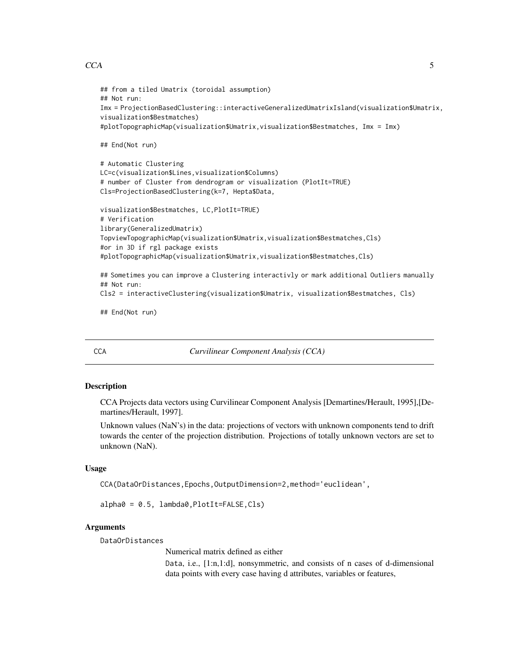#### <span id="page-4-0"></span> $CCA$  5

```
## from a tiled Umatrix (toroidal assumption)
## Not run:
Imx = ProjectionBasedClustering::interactiveGeneralizedUmatrixIsland(visualization$Umatrix,
visualization$Bestmatches)
#plotTopographicMap(visualization$Umatrix,visualization$Bestmatches, Imx = Imx)
## End(Not run)
# Automatic Clustering
LC=c(visualization$Lines,visualization$Columns)
# number of Cluster from dendrogram or visualization (PlotIt=TRUE)
Cls=ProjectionBasedClustering(k=7, Hepta$Data,
visualization$Bestmatches, LC,PlotIt=TRUE)
# Verification
library(GeneralizedUmatrix)
TopviewTopographicMap(visualization$Umatrix,visualization$Bestmatches,Cls)
#or in 3D if rgl package exists
#plotTopographicMap(visualization$Umatrix,visualization$Bestmatches,Cls)
## Sometimes you can improve a Clustering interactivly or mark additional Outliers manually
## Not run:
Cls2 = interactiveClustering(visualization$Umatrix, visualization$Bestmatches, Cls)
## End(Not run)
```
CCA *Curvilinear Component Analysis (CCA)*

#### **Description**

CCA Projects data vectors using Curvilinear Component Analysis [Demartines/Herault, 1995],[Demartines/Herault, 1997].

Unknown values (NaN's) in the data: projections of vectors with unknown components tend to drift towards the center of the projection distribution. Projections of totally unknown vectors are set to unknown (NaN).

#### Usage

CCA(DataOrDistances,Epochs,OutputDimension=2,method='euclidean',

alpha0 = 0.5, lambda0,PlotIt=FALSE,Cls)

#### Arguments

DataOrDistances

Numerical matrix defined as either

Data, i.e., [1:n,1:d], nonsymmetric, and consists of n cases of d-dimensional data points with every case having d attributes, variables or features,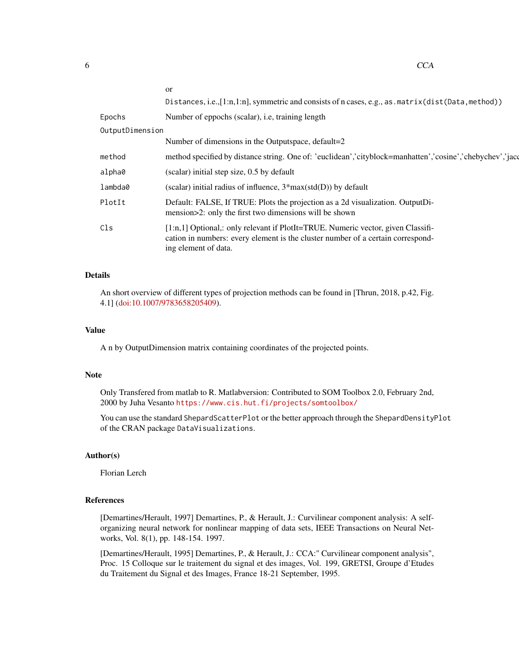|                 | <sub>or</sub>                                                                                                                                                                               |
|-----------------|---------------------------------------------------------------------------------------------------------------------------------------------------------------------------------------------|
|                 | Distances, i.e., $[1:n,1:n]$ , symmetric and consists of n cases, e.g., as . matrix (dist(Data, method))                                                                                    |
| Epochs          | Number of eppochs (scalar), i.e, training length                                                                                                                                            |
| OutputDimension |                                                                                                                                                                                             |
|                 | Number of dimensions in the Outputspace, default=2                                                                                                                                          |
| method          | method specified by distance string. One of: 'euclidean','cityblock=manhatten','cosine','chebychev','jacq                                                                                   |
| alpha0          | (scalar) initial step size, 0.5 by default                                                                                                                                                  |
| lambda0         | (scalar) initial radius of influence, $3*max(std(D))$ by default                                                                                                                            |
| PlotIt          | Default: FALSE, If TRUE: Plots the projection as a 2d visualization. OutputDi-<br>mension > 2: only the first two dimensions will be shown                                                  |
| Cls             | [1:n,1] Optional,: only relevant if PlotIt=TRUE. Numeric vector, given Classifi-<br>cation in numbers: every element is the cluster number of a certain correspond-<br>ing element of data. |
|                 |                                                                                                                                                                                             |

# Details

An short overview of different types of projection methods can be found in [Thrun, 2018, p.42, Fig. 4.1] [\(doi:10.1007/9783658205409\)](https://doi.org/10.1007/978-3-658-20540-9).

### Value

A n by OutputDimension matrix containing coordinates of the projected points.

#### Note

Only Transfered from matlab to R. Matlabversion: Contributed to SOM Toolbox 2.0, February 2nd, 2000 by Juha Vesanto <https://www.cis.hut.fi/projects/somtoolbox/>

You can use the standard ShepardScatterPlot or the better approach through the ShepardDensityPlot of the CRAN package DataVisualizations.

#### Author(s)

Florian Lerch

#### References

[Demartines/Herault, 1997] Demartines, P., & Herault, J.: Curvilinear component analysis: A selforganizing neural network for nonlinear mapping of data sets, IEEE Transactions on Neural Networks, Vol. 8(1), pp. 148-154. 1997.

[Demartines/Herault, 1995] Demartines, P., & Herault, J.: CCA:" Curvilinear component analysis", Proc. 15 Colloque sur le traitement du signal et des images, Vol. 199, GRETSI, Groupe d'Etudes du Traitement du Signal et des Images, France 18-21 September, 1995.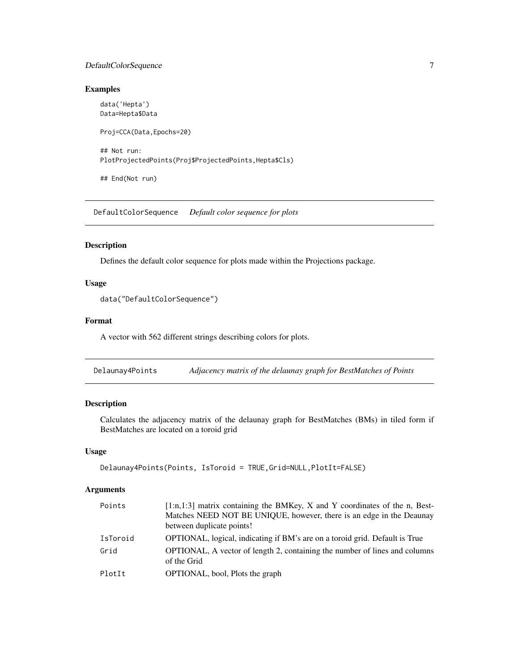# <span id="page-6-0"></span>DefaultColorSequence 7

# Examples

data('Hepta') Data=Hepta\$Data Proj=CCA(Data,Epochs=20) ## Not run: PlotProjectedPoints(Proj\$ProjectedPoints,Hepta\$Cls)

## End(Not run)

DefaultColorSequence *Default color sequence for plots*

#### Description

Defines the default color sequence for plots made within the Projections package.

# Usage

```
data("DefaultColorSequence")
```
# Format

A vector with 562 different strings describing colors for plots.

Delaunay4Points *Adjacency matrix of the delaunay graph for BestMatches of Points*

# Description

Calculates the adjacency matrix of the delaunay graph for BestMatches (BMs) in tiled form if BestMatches are located on a toroid grid

# Usage

```
Delaunay4Points(Points, IsToroid = TRUE,Grid=NULL,PlotIt=FALSE)
```
# Arguments

| Points   | $[1:n,1:3]$ matrix containing the BMKey, X and Y coordinates of the n, Best-<br>Matches NEED NOT BE UNIQUE, however, there is an edge in the Deaunay<br>between duplicate points! |
|----------|-----------------------------------------------------------------------------------------------------------------------------------------------------------------------------------|
| IsToroid | OPTIONAL, logical, indicating if BM's are on a toroid grid. Default is True                                                                                                       |
| Grid     | OPTIONAL, A vector of length 2, containing the number of lines and columns<br>of the Grid                                                                                         |
| PlotIt   | OPTIONAL, bool, Plots the graph                                                                                                                                                   |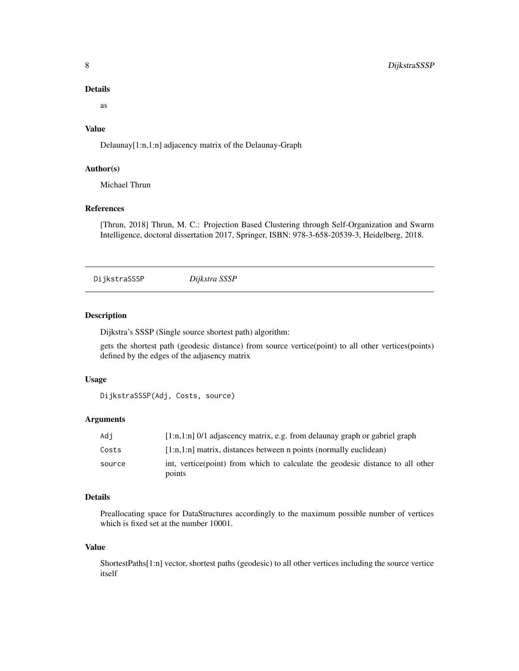#### Details

as

# Value

Delaunay[1:n,1:n] adjacency matrix of the Delaunay-Graph

# Author(s)

Michael Thrun

# References

[Thrun, 2018] Thrun, M. C.: Projection Based Clustering through Self-Organization and Swarm Intelligence, doctoral dissertation 2017, Springer, ISBN: 978-3-658-20539-3, Heidelberg, 2018.

<span id="page-7-1"></span>DijkstraSSSP *Dijkstra SSSP*

# Description

Dijkstra's SSSP (Single source shortest path) algorithm:

gets the shortest path (geodesic distance) from source vertice(point) to all other vertices(points) defined by the edges of the adjasency matrix

#### Usage

```
DijkstraSSSP(Adj, Costs, source)
```
# Arguments

| Adi    | $[1:n,1:n]$ 0/1 adjascency matrix, e.g. from delaunay graph or gabriel graph             |
|--------|------------------------------------------------------------------------------------------|
| Costs  | $[1:n,1:n]$ matrix, distances between n points (normally euclidean)                      |
| source | int, vertice(point) from which to calculate the geodesic distance to all other<br>points |

#### Details

Preallocating space for DataStructures accordingly to the maximum possible number of vertices which is fixed set at the number 10001.

#### Value

ShortestPaths[1:n] vector, shortest paths (geodesic) to all other vertices including the source vertice itself

<span id="page-7-0"></span>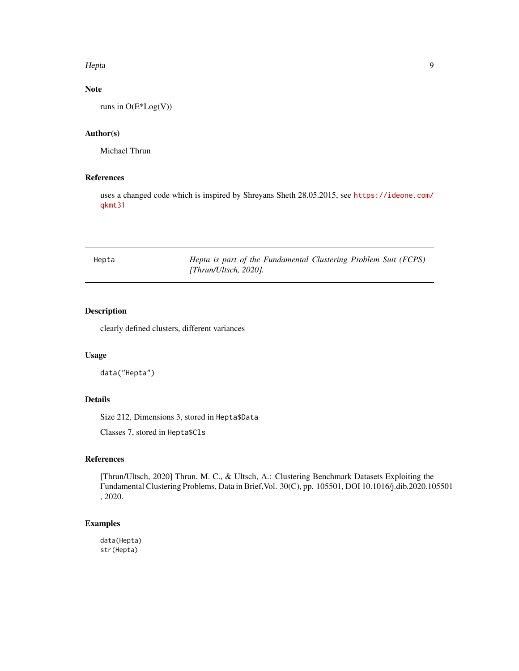#### <span id="page-8-0"></span>Hepta 9

# Note

runs in O(E\*Log(V))

#### Author(s)

Michael Thrun

# References

uses a changed code which is inspired by Shreyans Sheth 28.05.2015, see [https://ideone.com/](https://ideone.com/qkmt31) [qkmt31](https://ideone.com/qkmt31)

| Hepta | Hepta is part of the Fundamental Clustering Problem Suit (FCPS) |  |  |  |
|-------|-----------------------------------------------------------------|--|--|--|
|       | $[Thrun/U$ tsch, 2020].                                         |  |  |  |

# Description

clearly defined clusters, different variances

# Usage

data("Hepta")

# Details

Size 212, Dimensions 3, stored in Hepta\$Data

Classes 7, stored in Hepta\$Cls

# References

[Thrun/Ultsch, 2020] Thrun, M. C., & Ultsch, A.: Clustering Benchmark Datasets Exploiting the Fundamental Clustering Problems, Data in Brief,Vol. 30(C), pp. 105501, DOI 10.1016/j.dib.2020.105501 , 2020.

# Examples

data(Hepta) str(Hepta)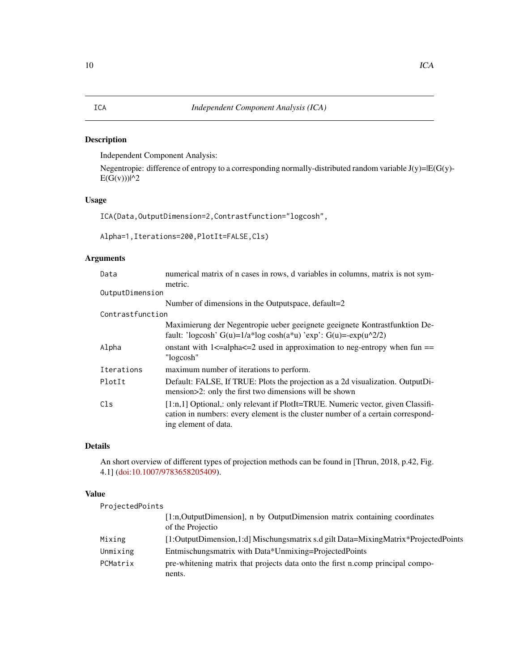# <span id="page-9-0"></span>Description

Independent Component Analysis:

Negentropie: difference of entropy to a corresponding normally-distributed random variable J(y)=|E(G(y)-  $E(G(v))$ |^2

# Usage

ICA(Data,OutputDimension=2,Contrastfunction="logcosh",

Alpha=1,Iterations=200,PlotIt=FALSE,Cls)

# Arguments

| Data             | numerical matrix of n cases in rows, d variables in columns, matrix is not sym-                                                                                                               |
|------------------|-----------------------------------------------------------------------------------------------------------------------------------------------------------------------------------------------|
|                  | metric.                                                                                                                                                                                       |
| OutputDimension  |                                                                                                                                                                                               |
|                  | Number of dimensions in the Outputspace, default=2                                                                                                                                            |
| Contrastfunction |                                                                                                                                                                                               |
|                  | Maximierung der Negentropie ueber geeignete geeignete Kontrastfunktion De-<br>fault: 'logcosh' $G(u)=1/a*log cosh(a*u)$ 'exp': $G(u)=exp(u^{2}/2)$                                            |
| Alpha            | onstant with $1 \le a$ -alpha $\le -2$ used in approximation to neg-entropy when fun ==<br>"logcosh"                                                                                          |
| Iterations       | maximum number of iterations to perform.                                                                                                                                                      |
| PlotIt           | Default: FALSE, If TRUE: Plots the projection as a 2d visualization. OutputDi-<br>mension>2: only the first two dimensions will be shown                                                      |
| Cls              | $[1:n,1]$ Optional,: only relevant if PlotIt=TRUE. Numeric vector, given Classifi-<br>cation in numbers: every element is the cluster number of a certain correspond-<br>ing element of data. |

# Details

An short overview of different types of projection methods can be found in [Thrun, 2018, p.42, Fig. 4.1] [\(doi:10.1007/9783658205409\)](https://doi.org/10.1007/978-3-658-20540-9).

# Value

| ProjectedPoints |                                                                                                  |
|-----------------|--------------------------------------------------------------------------------------------------|
|                 | [1:n, Output Dimension], n by Output Dimension matrix containing coordinates<br>of the Projectio |
| Mixing          | [1:OutputDimension,1:d] Mischungsmatrix s.d gilt Data=MixingMatrix*ProjectedPoints               |
| Unmixing        | Entmischungsmatrix with Data*Unmixing=ProjectedPoints                                            |
| PCMatrix        | pre-whitening matrix that projects data onto the first n.comp principal compo-<br>nents.         |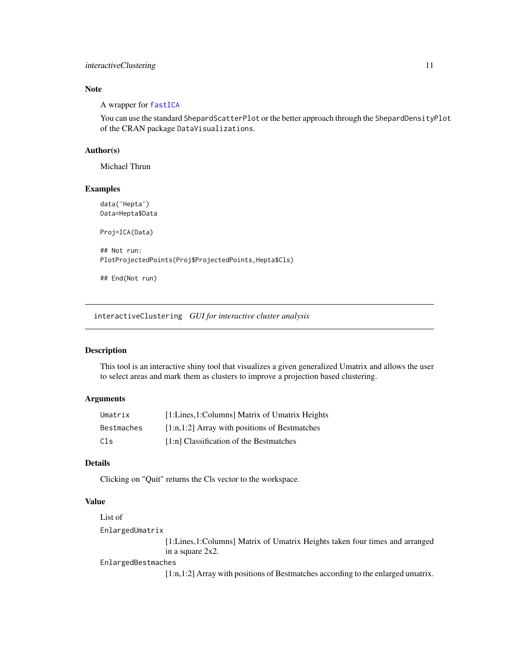# <span id="page-10-0"></span>interactiveClustering 11

#### Note

A wrapper for [fastICA](#page-0-0)

You can use the standard ShepardScatterPlot or the better approach through the ShepardDensityPlot of the CRAN package DataVisualizations.

# Author(s)

Michael Thrun

# Examples

data('Hepta') Data=Hepta\$Data Proj=ICA(Data) ## Not run: PlotProjectedPoints(Proj\$ProjectedPoints,Hepta\$Cls) ## End(Not run)

interactiveClustering *GUI for interactive cluster analysis*

#### Description

This tool is an interactive shiny tool that visualizes a given generalized Umatrix and allows the user to select areas and mark them as clusters to improve a projection based clustering.

# Arguments

| Umatrix    | [1:Lines,1:Columns] Matrix of Umatrix Heights   |
|------------|-------------------------------------------------|
| Bestmaches | $[1:n,1:2]$ Array with positions of Bestmatches |
| Cls        | [1:n] Classification of the Bestmatches         |

# Details

Clicking on "Quit" returns the Cls vector to the workspace.

# Value

```
List of
EnlargedUmatrix
                  [1:Lines,1:Columns] Matrix of Umatrix Heights taken four times and arranged
                 in a square 2x2.
EnlargedBestmaches
```
[1:n,1:2] Array with positions of Bestmatches according to the enlarged umatrix.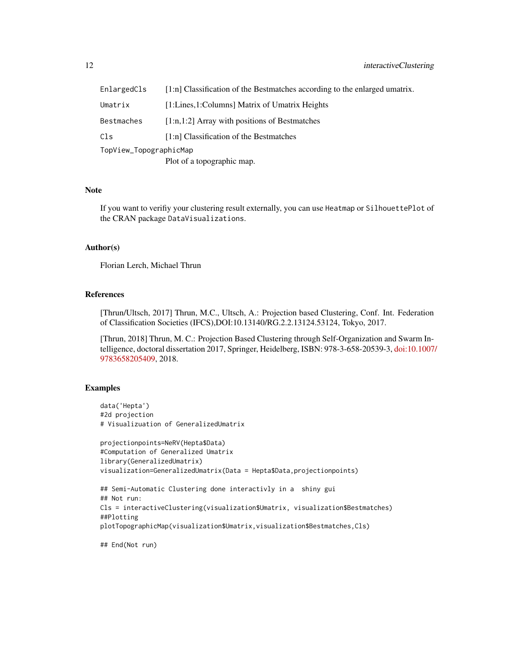| EnlargedCls            | [1:n] Classification of the Bestmatches according to the enlarged umatrix. |  |
|------------------------|----------------------------------------------------------------------------|--|
| Umatrix                | [1:Lines,1:Columns] Matrix of Umatrix Heights                              |  |
| Bestmaches             | $[1:n,1:2]$ Array with positions of Bestmatches                            |  |
| Cls                    | [1:n] Classification of the Bestmatches                                    |  |
| TopView_TopographicMap |                                                                            |  |
|                        | Plot of a topographic map.                                                 |  |
|                        |                                                                            |  |

#### Note

If you want to verifiy your clustering result externally, you can use Heatmap or SilhouettePlot of the CRAN package DataVisualizations.

#### Author(s)

Florian Lerch, Michael Thrun

#### References

[Thrun/Ultsch, 2017] Thrun, M.C., Ultsch, A.: Projection based Clustering, Conf. Int. Federation of Classification Societies (IFCS),DOI:10.13140/RG.2.2.13124.53124, Tokyo, 2017.

[Thrun, 2018] Thrun, M. C.: Projection Based Clustering through Self-Organization and Swarm Intelligence, doctoral dissertation 2017, Springer, Heidelberg, ISBN: 978-3-658-20539-3, [doi:10.1007](https://doi.org/10.1007/978-3-658-20540-9)/ [9783658205409,](https://doi.org/10.1007/978-3-658-20540-9) 2018.

# Examples

```
data('Hepta')
#2d projection
# Visualizuation of GeneralizedUmatrix
projectionpoints=NeRV(Hepta$Data)
#Computation of Generalized Umatrix
library(GeneralizedUmatrix)
visualization=GeneralizedUmatrix(Data = Hepta$Data,projectionpoints)
## Semi-Automatic Clustering done interactivly in a shiny gui
## Not run:
Cls = interactiveClustering(visualization$Umatrix, visualization$Bestmatches)
##Plotting
plotTopographicMap(visualization$Umatrix,visualization$Bestmatches,Cls)
## End(Not run)
```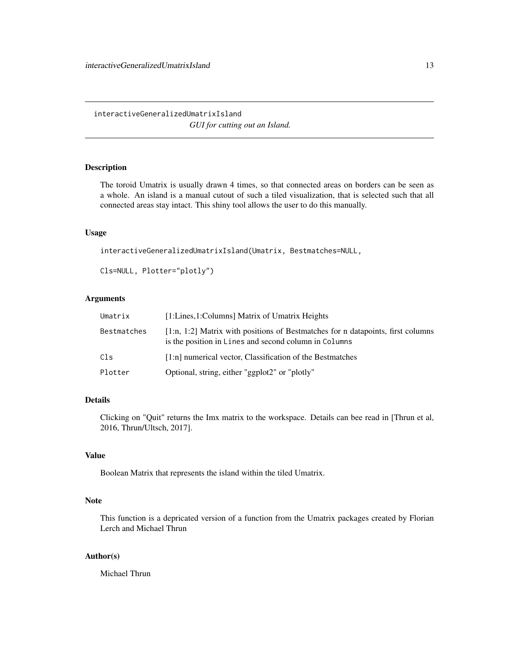<span id="page-12-0"></span>interactiveGeneralizedUmatrixIsland *GUI for cutting out an Island.*

# Description

The toroid Umatrix is usually drawn 4 times, so that connected areas on borders can be seen as a whole. An island is a manual cutout of such a tiled visualization, that is selected such that all connected areas stay intact. This shiny tool allows the user to do this manually.

# Usage

interactiveGeneralizedUmatrixIsland(Umatrix, Bestmatches=NULL,

```
Cls=NULL, Plotter="plotly")
```
# Arguments

| Umatrix     | [1:Lines,1:Columns] Matrix of Umatrix Heights                                                                                              |
|-------------|--------------------------------------------------------------------------------------------------------------------------------------------|
| Bestmatches | $[1:n, 1:2]$ Matrix with positions of Bestmatches for n datapoints, first columns<br>is the position in Lines and second column in Columns |
| C1s         | [1:n] numerical vector, Classification of the Bestmatches                                                                                  |
| Plotter     | Optional, string, either "ggplot2" or "plotly"                                                                                             |

# Details

Clicking on "Quit" returns the Imx matrix to the workspace. Details can bee read in [Thrun et al, 2016, Thrun/Ultsch, 2017].

# Value

Boolean Matrix that represents the island within the tiled Umatrix.

# Note

This function is a depricated version of a function from the Umatrix packages created by Florian Lerch and Michael Thrun

# Author(s)

Michael Thrun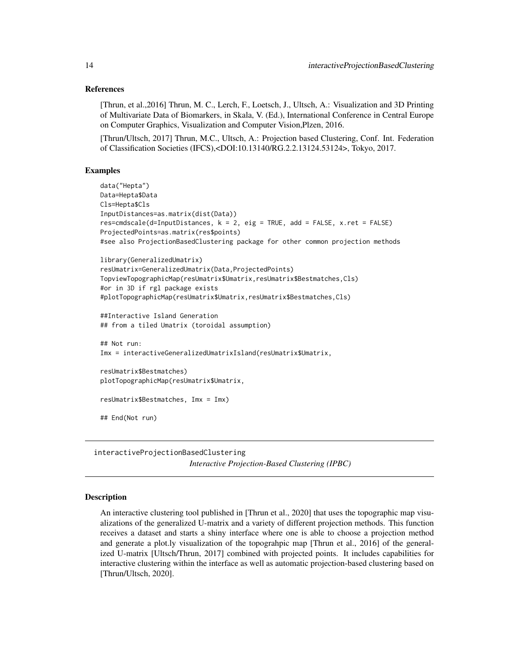#### References

[Thrun, et al.,2016] Thrun, M. C., Lerch, F., Loetsch, J., Ultsch, A.: Visualization and 3D Printing of Multivariate Data of Biomarkers, in Skala, V. (Ed.), International Conference in Central Europe on Computer Graphics, Visualization and Computer Vision,Plzen, 2016.

[Thrun/Ultsch, 2017] Thrun, M.C., Ultsch, A.: Projection based Clustering, Conf. Int. Federation of Classification Societies (IFCS),<DOI:10.13140/RG.2.2.13124.53124>, Tokyo, 2017.

# Examples

```
data("Hepta")
Data=Hepta$Data
Cls=Hepta$Cls
InputDistances=as.matrix(dist(Data))
res=cmdscale(d=InputDistances, k = 2, eig = TRUE, add = FALSE, x.ret = FALSE)
ProjectedPoints=as.matrix(res$points)
#see also ProjectionBasedClustering package for other common projection methods
library(GeneralizedUmatrix)
resUmatrix=GeneralizedUmatrix(Data,ProjectedPoints)
TopviewTopographicMap(resUmatrix$Umatrix,resUmatrix$Bestmatches,Cls)
#or in 3D if rgl package exists
#plotTopographicMap(resUmatrix$Umatrix,resUmatrix$Bestmatches,Cls)
##Interactive Island Generation
## from a tiled Umatrix (toroidal assumption)
## Not run:
Imx = interactiveGeneralizedUmatrixIsland(resUmatrix$Umatrix,
resUmatrix$Bestmatches)
plotTopographicMap(resUmatrix$Umatrix,
resUmatrix$Bestmatches, Imx = Imx)
## End(Not run)
```
interactiveProjectionBasedClustering

*Interactive Projection-Based Clustering (IPBC)*

### Description

An interactive clustering tool published in [Thrun et al., 2020] that uses the topographic map visualizations of the generalized U-matrix and a variety of different projection methods. This function receives a dataset and starts a shiny interface where one is able to choose a projection method and generate a plot.ly visualization of the topograhpic map [Thrun et al., 2016] of the generalized U-matrix [Ultsch/Thrun, 2017] combined with projected points. It includes capabilities for interactive clustering within the interface as well as automatic projection-based clustering based on [Thrun/Ultsch, 2020].

<span id="page-13-0"></span>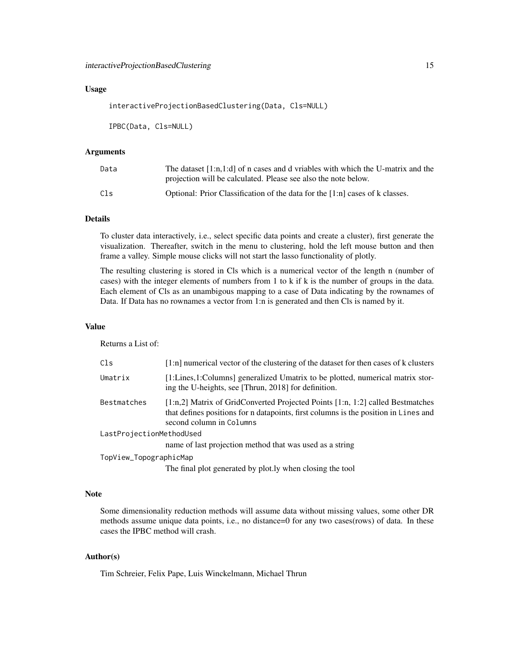#### Usage

interactiveProjectionBasedClustering(Data, Cls=NULL)

IPBC(Data, Cls=NULL)

#### Arguments

| Data | The dataset $[1:n,1:d]$ of n cases and d vriables with which the U-matrix and the<br>projection will be calculated. Please see also the note below. |
|------|-----------------------------------------------------------------------------------------------------------------------------------------------------|
| Cls  | Optional: Prior Classification of the data for the $[1:n]$ cases of k classes.                                                                      |

# Details

To cluster data interactively, i.e., select specific data points and create a cluster), first generate the visualization. Thereafter, switch in the menu to clustering, hold the left mouse button and then frame a valley. Simple mouse clicks will not start the lasso functionality of plotly.

The resulting clustering is stored in Cls which is a numerical vector of the length n (number of cases) with the integer elements of numbers from 1 to k if k is the number of groups in the data. Each element of Cls as an unambigous mapping to a case of Data indicating by the rownames of Data. If Data has no rownames a vector from 1:n is generated and then Cls is named by it.

#### Value

Returns a List of:

| Cls                      | $[1:n]$ numerical vector of the clustering of the dataset for then cases of k clusters                                                                                                                |
|--------------------------|-------------------------------------------------------------------------------------------------------------------------------------------------------------------------------------------------------|
| Umatrix                  | [1:Lines,1:Columns] generalized Umatrix to be plotted, numerical matrix stor-<br>ing the U-heights, see [Thrun, 2018] for definition.                                                                 |
| Bestmatches              | $[1:n,2]$ Matrix of GridConverted Projected Points $[1:n, 1:2]$ called Bestmatches<br>that defines positions for n datapoints, first columns is the position in Lines and<br>second column in Columns |
| LastProjectionMethodUsed |                                                                                                                                                                                                       |
|                          | name of last projection method that was used as a string                                                                                                                                              |
| TopView_TopographicMap   |                                                                                                                                                                                                       |
|                          | The final plot generated by plot. Iy when closing the tool                                                                                                                                            |

#### Note

Some dimensionality reduction methods will assume data without missing values, some other DR methods assume unique data points, i.e., no distance=0 for any two cases(rows) of data. In these cases the IPBC method will crash.

#### Author(s)

Tim Schreier, Felix Pape, Luis Winckelmann, Michael Thrun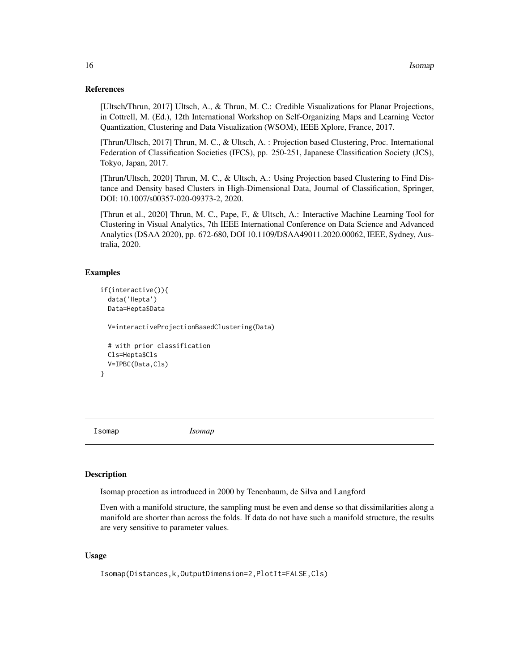#### References

[Ultsch/Thrun, 2017] Ultsch, A., & Thrun, M. C.: Credible Visualizations for Planar Projections, in Cottrell, M. (Ed.), 12th International Workshop on Self-Organizing Maps and Learning Vector Quantization, Clustering and Data Visualization (WSOM), IEEE Xplore, France, 2017.

[Thrun/Ultsch, 2017] Thrun, M. C., & Ultsch, A. : Projection based Clustering, Proc. International Federation of Classification Societies (IFCS), pp. 250-251, Japanese Classification Society (JCS), Tokyo, Japan, 2017.

[Thrun/Ultsch, 2020] Thrun, M. C., & Ultsch, A.: Using Projection based Clustering to Find Distance and Density based Clusters in High-Dimensional Data, Journal of Classification, Springer, DOI: 10.1007/s00357-020-09373-2, 2020.

[Thrun et al., 2020] Thrun, M. C., Pape, F., & Ultsch, A.: Interactive Machine Learning Tool for Clustering in Visual Analytics, 7th IEEE International Conference on Data Science and Advanced Analytics (DSAA 2020), pp. 672-680, DOI 10.1109/DSAA49011.2020.00062, IEEE, Sydney, Australia, 2020.

#### Examples

```
if(interactive()){
 data('Hepta')
 Data=Hepta$Data
```
V=interactiveProjectionBasedClustering(Data)

```
# with prior classification
Cls=Hepta$Cls
V=IPBC(Data,Cls)
```
}

Isomap *Isomap*

#### Description

Isomap procetion as introduced in 2000 by Tenenbaum, de Silva and Langford

Even with a manifold structure, the sampling must be even and dense so that dissimilarities along a manifold are shorter than across the folds. If data do not have such a manifold structure, the results are very sensitive to parameter values.

#### Usage

```
Isomap(Distances,k,OutputDimension=2,PlotIt=FALSE,Cls)
```
<span id="page-15-0"></span>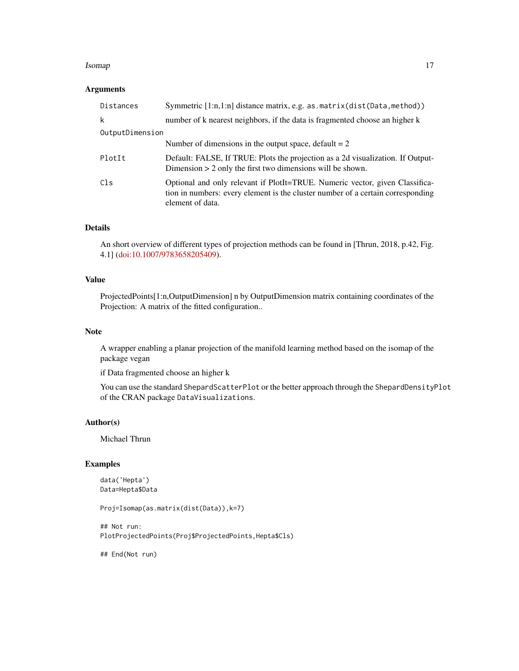#### Isomap 2012 and 2012 and 2012 and 2012 and 2012 and 2012 and 2012 and 2012 and 2012 and 2012 and 201

# Arguments

| Distances       | Symmetric [1:n,1:n] distance matrix, e.g. as.matrix(dist(Data, method))                                                                                                             |
|-----------------|-------------------------------------------------------------------------------------------------------------------------------------------------------------------------------------|
| k               | number of k nearest neighbors, if the data is fragmented choose an higher k                                                                                                         |
| OutputDimension |                                                                                                                                                                                     |
|                 | Number of dimensions in the output space, default $= 2$                                                                                                                             |
| PlotIt          | Default: FALSE, If TRUE: Plots the projection as a 2d visualization. If Output-<br>Dimension $> 2$ only the first two dimensions will be shown.                                     |
| Cls             | Optional and only relevant if PlotIt=TRUE. Numeric vector, given Classifica-<br>tion in numbers: every element is the cluster number of a certain corresponding<br>element of data. |

# Details

An short overview of different types of projection methods can be found in [Thrun, 2018, p.42, Fig. 4.1] [\(doi:10.1007/9783658205409\)](https://doi.org/10.1007/978-3-658-20540-9).

# Value

ProjectedPoints[1:n,OutputDimension] n by OutputDimension matrix containing coordinates of the Projection: A matrix of the fitted configuration..

# Note

A wrapper enabling a planar projection of the manifold learning method based on the isomap of the package vegan

if Data fragmented choose an higher k

You can use the standard ShepardScatterPlot or the better approach through the ShepardDensityPlot of the CRAN package DataVisualizations.

#### Author(s)

Michael Thrun

#### Examples

```
data('Hepta')
Data=Hepta$Data
```
Proj=Isomap(as.matrix(dist(Data)),k=7)

## Not run: PlotProjectedPoints(Proj\$ProjectedPoints,Hepta\$Cls)

## End(Not run)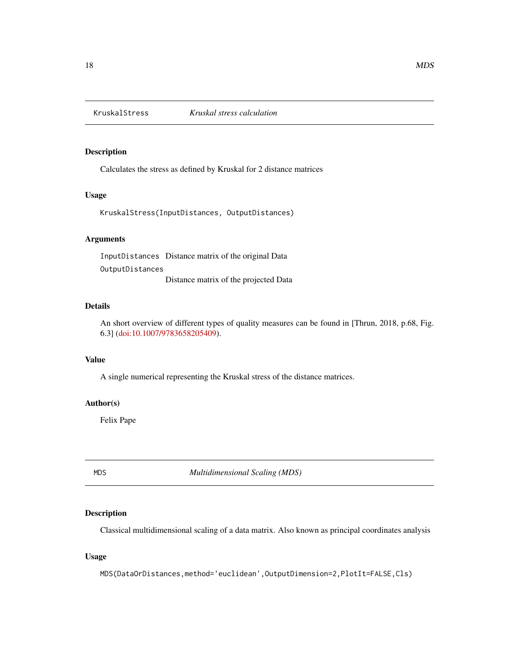<span id="page-17-0"></span>

# Description

Calculates the stress as defined by Kruskal for 2 distance matrices

# Usage

KruskalStress(InputDistances, OutputDistances)

# Arguments

InputDistances Distance matrix of the original Data OutputDistances Distance matrix of the projected Data

#### Details

An short overview of different types of quality measures can be found in [Thrun, 2018, p.68, Fig. 6.3] [\(doi:10.1007/9783658205409\)](https://doi.org/10.1007/978-3-658-20540-9).

# Value

A single numerical representing the Kruskal stress of the distance matrices.

# Author(s)

Felix Pape

MDS *Multidimensional Scaling (MDS)*

# Description

Classical multidimensional scaling of a data matrix. Also known as principal coordinates analysis

#### Usage

MDS(DataOrDistances,method='euclidean',OutputDimension=2,PlotIt=FALSE,Cls)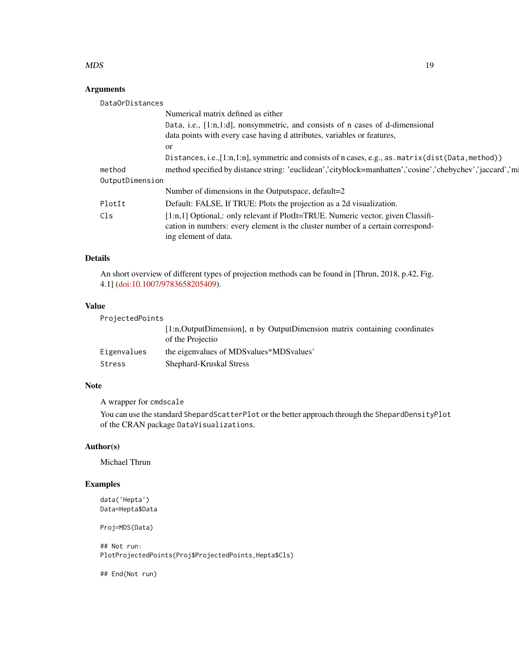#### $MDS$  19

# Arguments

| DataOrDistances |                                                                                                          |
|-----------------|----------------------------------------------------------------------------------------------------------|
|                 | Numerical matrix defined as either                                                                       |
|                 | Data, i.e., [1:n,1:d], nonsymmetric, and consists of n cases of d-dimensional                            |
|                 | data points with every case having d attributes, variables or features,                                  |
|                 | <sub>or</sub>                                                                                            |
|                 | Distances, i.e., [1:n, 1:n], symmetric and consists of n cases, e.g., as . matrix (dist (Data, method))  |
| method          | method specified by distance string: 'euclidean','cityblock=manhatten','cosine','chebychev','jaccard','m |
| OutputDimension |                                                                                                          |
|                 | Number of dimensions in the Outputspace, default=2                                                       |
| PlotIt          | Default: FALSE, If TRUE: Plots the projection as a 2d visualization.                                     |
| Cls             | [1:n,1] Optional,: only relevant if PlotIt=TRUE. Numeric vector, given Classifi-                         |
|                 | cation in numbers: every element is the cluster number of a certain correspond-                          |
|                 | ing element of data.                                                                                     |

# Details

An short overview of different types of projection methods can be found in [Thrun, 2018, p.42, Fig. 4.1] [\(doi:10.1007/9783658205409\)](https://doi.org/10.1007/978-3-658-20540-9).

#### Value

ProjectedPoints

| [1:n, OutputDimension], n by OutputDimension matrix containing coordinates |
|----------------------------------------------------------------------------|
|                                                                            |
|                                                                            |
|                                                                            |

# Note

A wrapper for cmdscale

You can use the standard ShepardScatterPlot or the better approach through the ShepardDensityPlot of the CRAN package DataVisualizations.

# Author(s)

Michael Thrun

# Examples

data('Hepta') Data=Hepta\$Data

Proj=MDS(Data)

## Not run: PlotProjectedPoints(Proj\$ProjectedPoints,Hepta\$Cls)

## End(Not run)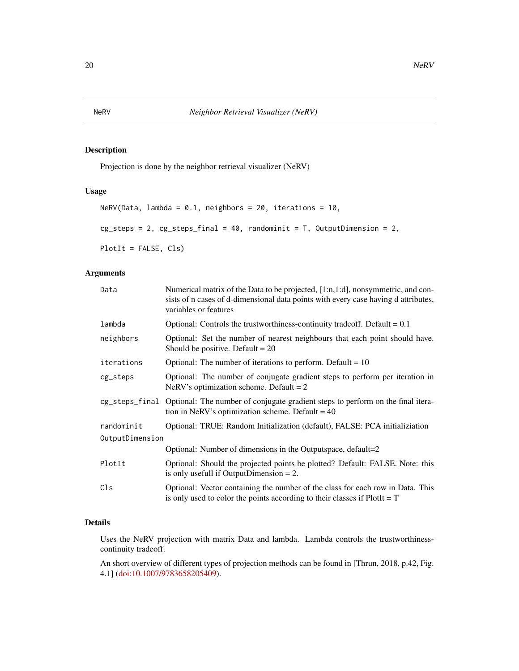#### <span id="page-19-0"></span>Description

Projection is done by the neighbor retrieval visualizer (NeRV)

# Usage

```
NeRV(Data, lambda = 0.1, neighbors = 20, iterations = 10,
cg_{\text{steps}} = 2, cg_{\text{steps}}final = 40, randominit = T, OutputDimension = 2,
PlotIt = FALSE, Cls)
```
#### Arguments

| Data            | Numerical matrix of the Data to be projected, [1:n, 1:d], nonsymmetric, and con-<br>sists of n cases of d-dimensional data points with every case having d attributes,<br>variables or features |
|-----------------|-------------------------------------------------------------------------------------------------------------------------------------------------------------------------------------------------|
| lambda          | Optional: Controls the trustworthiness-continuity tradeoff. Default $= 0.1$                                                                                                                     |
| neighbors       | Optional: Set the number of nearest neighbours that each point should have.<br>Should be positive. Default $= 20$                                                                               |
| iterations      | Optional: The number of iterations to perform. Default $= 10$                                                                                                                                   |
| cg_steps        | Optional: The number of conjugate gradient steps to perform per iteration in<br>NeRV's optimization scheme. Default = $2$                                                                       |
|                 | cg_steps_final Optional: The number of conjugate gradient steps to perform on the final itera-<br>tion in NeRV's optimization scheme. Default = $40$                                            |
| randominit      | Optional: TRUE: Random Initialization (default), FALSE: PCA initializiation                                                                                                                     |
| OutputDimension |                                                                                                                                                                                                 |
|                 | Optional: Number of dimensions in the Outputspace, default=2                                                                                                                                    |
| PlotIt          | Optional: Should the projected points be plotted? Default: FALSE. Note: this<br>is only usefull if OutputDimension $= 2$ .                                                                      |
| Cls             | Optional: Vector containing the number of the class for each row in Data. This<br>is only used to color the points according to their classes if $PlotIt = T$                                   |

# Details

Uses the NeRV projection with matrix Data and lambda. Lambda controls the trustworthinesscontinuity tradeoff.

An short overview of different types of projection methods can be found in [Thrun, 2018, p.42, Fig. 4.1] [\(doi:10.1007/9783658205409\)](https://doi.org/10.1007/978-3-658-20540-9).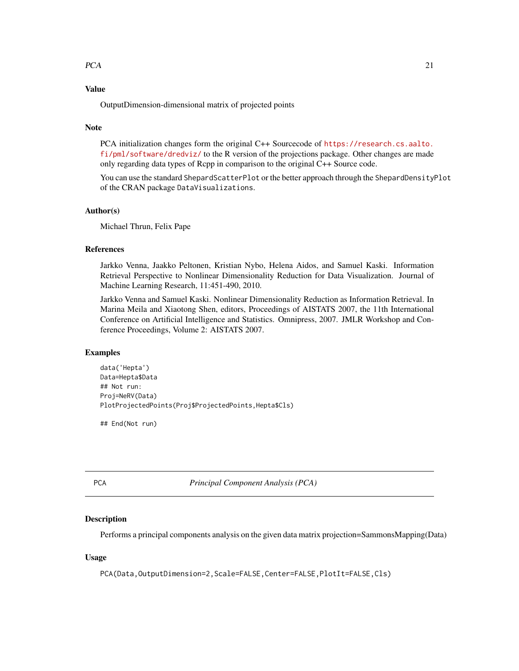#### <span id="page-20-0"></span> $PCA$  21

# Value

OutputDimension-dimensional matrix of projected points

#### **Note**

PCA initialization changes form the original C++ Sourcecode of [https://research.cs.aalto.](https://research.cs.aalto.fi/pml/software/dredviz/) [fi/pml/software/dredviz/](https://research.cs.aalto.fi/pml/software/dredviz/) to the R version of the projections package. Other changes are made only regarding data types of Rcpp in comparison to the original C++ Source code.

You can use the standard ShepardScatterPlot or the better approach through the ShepardDensityPlot of the CRAN package DataVisualizations.

#### Author(s)

Michael Thrun, Felix Pape

#### References

Jarkko Venna, Jaakko Peltonen, Kristian Nybo, Helena Aidos, and Samuel Kaski. Information Retrieval Perspective to Nonlinear Dimensionality Reduction for Data Visualization. Journal of Machine Learning Research, 11:451-490, 2010.

Jarkko Venna and Samuel Kaski. Nonlinear Dimensionality Reduction as Information Retrieval. In Marina Meila and Xiaotong Shen, editors, Proceedings of AISTATS 2007, the 11th International Conference on Artificial Intelligence and Statistics. Omnipress, 2007. JMLR Workshop and Conference Proceedings, Volume 2: AISTATS 2007.

#### Examples

```
data('Hepta')
Data=Hepta$Data
## Not run:
Proj=NeRV(Data)
PlotProjectedPoints(Proj$ProjectedPoints,Hepta$Cls)
```
## End(Not run)

PCA *Principal Component Analysis (PCA)*

#### Description

Performs a principal components analysis on the given data matrix projection=SammonsMapping(Data)

#### Usage

PCA(Data,OutputDimension=2,Scale=FALSE,Center=FALSE,PlotIt=FALSE,Cls)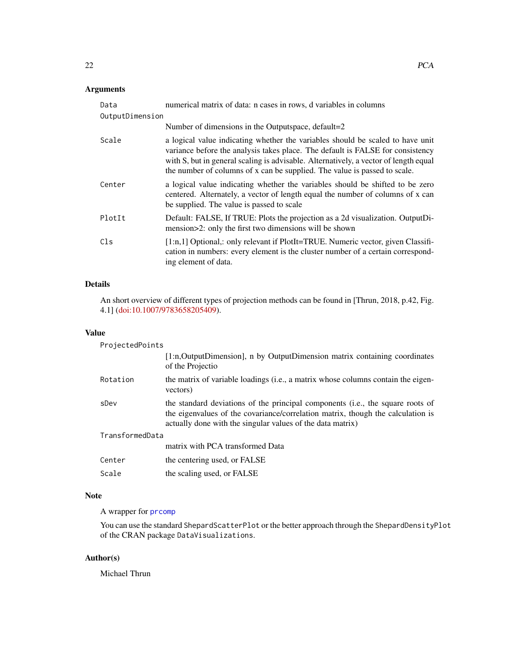# <span id="page-21-0"></span>Arguments

| Data            | numerical matrix of data: n cases in rows, d variables in columns                                                                                                                                                                                                                                                                     |  |
|-----------------|---------------------------------------------------------------------------------------------------------------------------------------------------------------------------------------------------------------------------------------------------------------------------------------------------------------------------------------|--|
| OutputDimension |                                                                                                                                                                                                                                                                                                                                       |  |
|                 | Number of dimensions in the Outputspace, default=2                                                                                                                                                                                                                                                                                    |  |
| Scale           | a logical value indicating whether the variables should be scaled to have unit<br>variance before the analysis takes place. The default is FALSE for consistency<br>with S, but in general scaling is advisable. Alternatively, a vector of length equal<br>the number of columns of x can be supplied. The value is passed to scale. |  |
| Center          | a logical value indicating whether the variables should be shifted to be zero<br>centered. Alternately, a vector of length equal the number of columns of x can<br>be supplied. The value is passed to scale                                                                                                                          |  |
| PlotIt          | Default: FALSE, If TRUE: Plots the projection as a 2d visualization. OutputDi-<br>mension>2: only the first two dimensions will be shown                                                                                                                                                                                              |  |
| Cls             | $[1:n,1]$ Optional,: only relevant if PlotIt=TRUE. Numeric vector, given Classifi-<br>cation in numbers: every element is the cluster number of a certain correspond-<br>ing element of data.                                                                                                                                         |  |

# Details

An short overview of different types of projection methods can be found in [Thrun, 2018, p.42, Fig. 4.1] [\(doi:10.1007/9783658205409\)](https://doi.org/10.1007/978-3-658-20540-9).

#### Value

| ProjectedPoints |                                                                                                                                                                                                                                 |  |
|-----------------|---------------------------------------------------------------------------------------------------------------------------------------------------------------------------------------------------------------------------------|--|
|                 | [1:n,OutputDimension], n by OutputDimension matrix containing coordinates<br>of the Projectio                                                                                                                                   |  |
| Rotation        | the matrix of variable loadings (i.e., a matrix whose columns contain the eigen-<br>vectors)                                                                                                                                    |  |
| sDev            | the standard deviations of the principal components (i.e., the square roots of<br>the eigenvalues of the covariance/correlation matrix, though the calculation is<br>actually done with the singular values of the data matrix) |  |
| TransformedData |                                                                                                                                                                                                                                 |  |
|                 | matrix with PCA transformed Data                                                                                                                                                                                                |  |
| Center          | the centering used, or FALSE                                                                                                                                                                                                    |  |
| Scale           | the scaling used, or FALSE                                                                                                                                                                                                      |  |

# Note

A wrapper for [prcomp](#page-0-0)

You can use the standard ShepardScatterPlot or the better approach through the ShepardDensityPlot of the CRAN package DataVisualizations.

# Author(s)

Michael Thrun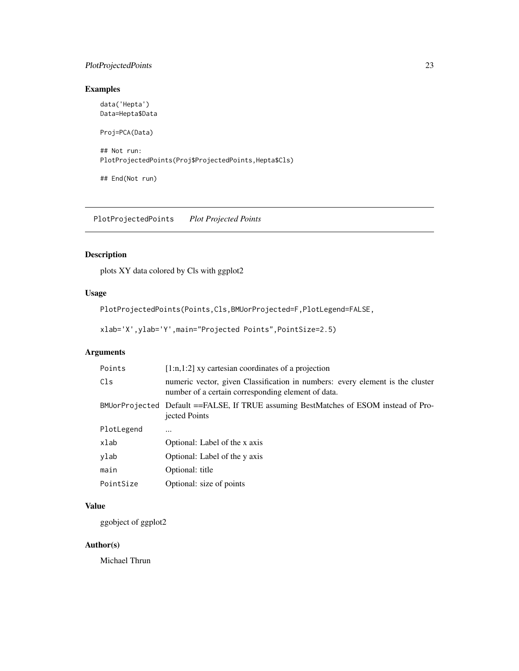# <span id="page-22-0"></span>PlotProjectedPoints 23

# Examples

data('Hepta') Data=Hepta\$Data Proj=PCA(Data) ## Not run: PlotProjectedPoints(Proj\$ProjectedPoints,Hepta\$Cls)

## End(Not run)

PlotProjectedPoints *Plot Projected Points*

# Description

plots XY data colored by Cls with ggplot2

# Usage

PlotProjectedPoints(Points,Cls,BMUorProjected=F,PlotLegend=FALSE,

```
xlab='X',ylab='Y',main="Projected Points",PointSize=2.5)
```
# Arguments

| Points     | $[1:n,1:2]$ xy cartesian coordinates of a projection                                                                                |
|------------|-------------------------------------------------------------------------------------------------------------------------------------|
| Cls        | numeric vector, given Classification in numbers: every element is the cluster<br>number of a certain corresponding element of data. |
|            | BMUorProjected Default ==FALSE, If TRUE assuming BestMatches of ESOM instead of Pro-<br>jected Points                               |
| PlotLegend |                                                                                                                                     |
| xlab       | Optional: Label of the x axis                                                                                                       |
| ylab       | Optional: Label of the y axis                                                                                                       |
| main       | Optional: title                                                                                                                     |
| PointSize  | Optional: size of points                                                                                                            |

# Value

ggobject of ggplot2

# Author(s)

Michael Thrun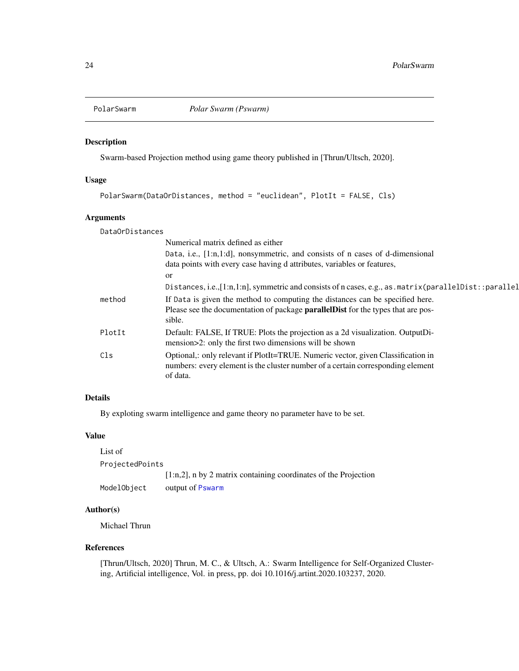<span id="page-23-0"></span>

# Description

Swarm-based Projection method using game theory published in [Thrun/Ultsch, 2020].

#### Usage

```
PolarSwarm(DataOrDistances, method = "euclidean", PlotIt = FALSE, Cls)
```
#### Arguments

DataOrDistances

|        | Numerical matrix defined as either                                                                                                                                                  |
|--------|-------------------------------------------------------------------------------------------------------------------------------------------------------------------------------------|
|        | Data, i.e., [1:n,1:d], nonsymmetric, and consists of n cases of d-dimensional                                                                                                       |
|        | data points with every case having d attributes, variables or features,                                                                                                             |
|        | <sub>or</sub><br>Distances, i.e., [1:n, 1:n], symmetric and consists of n cases, e.g., as . matrix (parallelDist::parallel                                                          |
| method | If Data is given the method to computing the distances can be specified here.<br>Please see the documentation of package <b>parallel Dist</b> for the types that are pos-<br>sible. |
| PlotIt | Default: FALSE, If TRUE: Plots the projection as a 2d visualization. OutputDi-<br>mension>2: only the first two dimensions will be shown                                            |
| C1s    | Optional,: only relevant if PlotIt=TRUE. Numeric vector, given Classification in<br>numbers: every element is the cluster number of a certain corresponding element<br>of data.     |

# Details

By exploting swarm intelligence and game theory no parameter have to be set.

### Value

| List of         |                                                                    |
|-----------------|--------------------------------------------------------------------|
| ProjectedPoints |                                                                    |
|                 | $[1:n,2]$ , n by 2 matrix containing coordinates of the Projection |
| ModelObject     | output of Pswarm                                                   |

# Author(s)

Michael Thrun

#### References

[Thrun/Ultsch, 2020] Thrun, M. C., & Ultsch, A.: Swarm Intelligence for Self-Organized Clustering, Artificial intelligence, Vol. in press, pp. doi 10.1016/j.artint.2020.103237, 2020.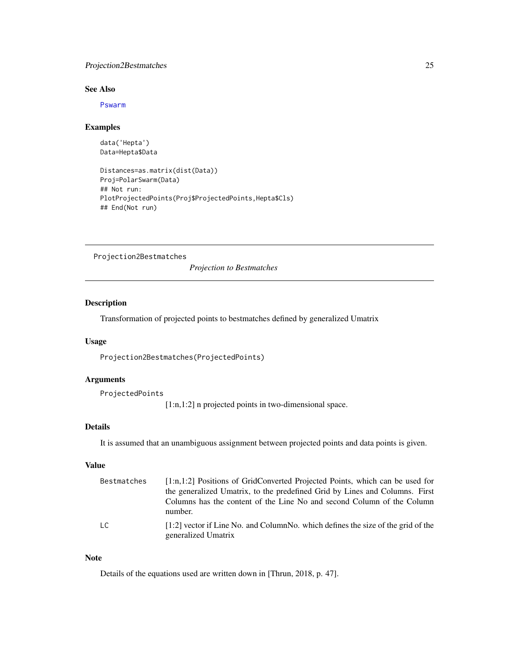# <span id="page-24-0"></span>Projection2Bestmatches 25

# See Also

[Pswarm](#page-0-0)

#### Examples

```
data('Hepta')
Data=Hepta$Data
```

```
Distances=as.matrix(dist(Data))
Proj=PolarSwarm(Data)
## Not run:
PlotProjectedPoints(Proj$ProjectedPoints,Hepta$Cls)
## End(Not run)
```
Projection2Bestmatches

*Projection to Bestmatches*

# Description

Transformation of projected points to bestmatches defined by generalized Umatrix

### Usage

Projection2Bestmatches(ProjectedPoints)

#### Arguments

ProjectedPoints

[1:n,1:2] n projected points in two-dimensional space.

# Details

It is assumed that an unambiguous assignment between projected points and data points is given.

# Value

| Bestmatches    | $[1:n,1:2]$ Positions of GridConverted Projected Points, which can be used for<br>the generalized Umatrix, to the predefined Grid by Lines and Columns. First |
|----------------|---------------------------------------------------------------------------------------------------------------------------------------------------------------|
|                | Columns has the content of the Line No and second Column of the Column<br>number.                                                                             |
| $\overline{c}$ | $[1:2]$ vector if Line No. and ColumnNo. which defines the size of the grid of the<br>generalized Umatrix                                                     |

# Note

Details of the equations used are written down in [Thrun, 2018, p. 47].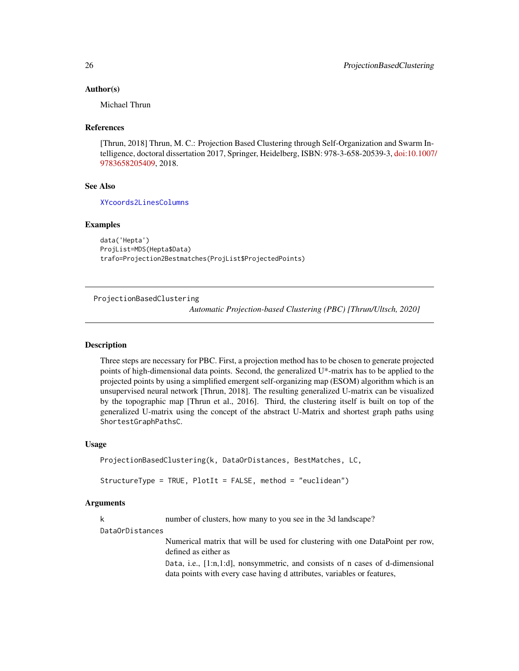#### <span id="page-25-0"></span>Author(s)

Michael Thrun

#### References

[Thrun, 2018] Thrun, M. C.: Projection Based Clustering through Self-Organization and Swarm Intelligence, doctoral dissertation 2017, Springer, Heidelberg, ISBN: 978-3-658-20539-3, [doi:10.1007](https://doi.org/10.1007/978-3-658-20540-9)/ [9783658205409,](https://doi.org/10.1007/978-3-658-20540-9) 2018.

# See Also

[XYcoords2LinesColumns](#page-0-0)

#### Examples

```
data('Hepta')
ProjList=MDS(Hepta$Data)
trafo=Projection2Bestmatches(ProjList$ProjectedPoints)
```
ProjectionBasedClustering

*Automatic Projection-based Clustering (PBC) [Thrun/Ultsch, 2020]*

# Description

Three steps are necessary for PBC. First, a projection method has to be chosen to generate projected points of high-dimensional data points. Second, the generalized  $U^*$ -matrix has to be applied to the projected points by using a simplified emergent self-organizing map (ESOM) algorithm which is an unsupervised neural network [Thrun, 2018]. The resulting generalized U-matrix can be visualized by the topographic map [Thrun et al., 2016]. Third, the clustering itself is built on top of the generalized U-matrix using the concept of the abstract U-Matrix and shortest graph paths using ShortestGraphPathsC.

#### Usage

```
ProjectionBasedClustering(k, DataOrDistances, BestMatches, LC,
```

```
StructureType = TRUE, PlotIt = FALSE, method = "euclidean")
```
#### Arguments

k number of clusters, how many to you see in the 3d landscape?

#### DataOrDistances

Numerical matrix that will be used for clustering with one DataPoint per row, defined as either as

Data, i.e., [1:n,1:d], nonsymmetric, and consists of n cases of d-dimensional data points with every case having d attributes, variables or features,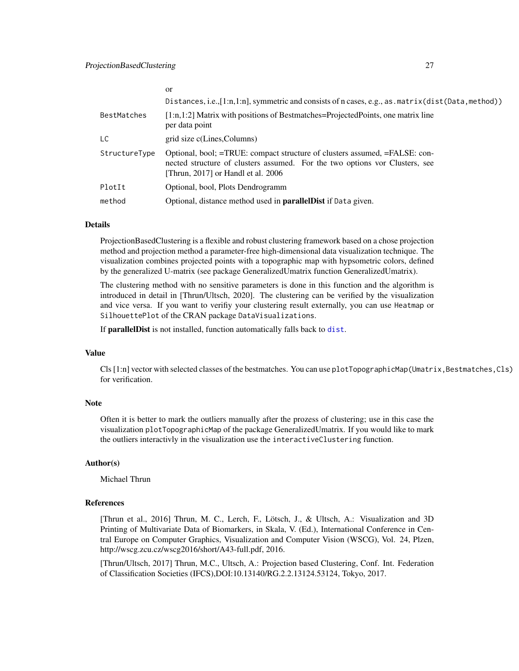<span id="page-26-0"></span>

|               | <sub>or</sub>                                                                                                                                                                                   |
|---------------|-------------------------------------------------------------------------------------------------------------------------------------------------------------------------------------------------|
|               | Distances, i.e., $[1:n,1:n]$ , symmetric and consists of n cases, e.g., as $matrix(dist(Data, method))$                                                                                         |
| BestMatches   | $[1:n,1:2]$ Matrix with positions of Bestmatches=ProjectedPoints, one matrix line<br>per data point                                                                                             |
| LC            | grid size c(Lines, Columns)                                                                                                                                                                     |
| StructureType | Optional, bool; =TRUE: compact structure of clusters assumed, =FALSE: con-<br>nected structure of clusters assumed. For the two options vor Clusters, see<br>[Thrun, 2017] or Handl et al. 2006 |
| PlotIt        | Optional, bool, Plots Dendrogramm                                                                                                                                                               |
| method        | Optional, distance method used in <b>parallelDist</b> if Data given.                                                                                                                            |

#### Details

ProjectionBasedClustering is a flexible and robust clustering framework based on a chose projection method and projection method a parameter-free high-dimensional data visualization technique. The visualization combines projected points with a topographic map with hypsometric colors, defined by the generalized U-matrix (see package GeneralizedUmatrix function GeneralizedUmatrix).

The clustering method with no sensitive parameters is done in this function and the algorithm is introduced in detail in [Thrun/Ultsch, 2020]. The clustering can be verified by the visualization and vice versa. If you want to verifiy your clustering result externally, you can use Heatmap or SilhouettePlot of the CRAN package DataVisualizations.

If parallelDist is not installed, function automatically falls back to [dist](#page-0-0).

#### Value

Cls [1:n] vector with selected classes of the bestmatches. You can use plotTopographicMap(Umatrix,Bestmatches,Cls) for verification.

#### Note

Often it is better to mark the outliers manually after the prozess of clustering; use in this case the visualization plotTopographicMap of the package GeneralizedUmatrix. If you would like to mark the outliers interactivly in the visualization use the interactiveClustering function.

#### Author(s)

Michael Thrun

#### References

[Thrun et al., 2016] Thrun, M. C., Lerch, F., Lötsch, J., & Ultsch, A.: Visualization and 3D Printing of Multivariate Data of Biomarkers, in Skala, V. (Ed.), International Conference in Central Europe on Computer Graphics, Visualization and Computer Vision (WSCG), Vol. 24, Plzen, http://wscg.zcu.cz/wscg2016/short/A43-full.pdf, 2016.

[Thrun/Ultsch, 2017] Thrun, M.C., Ultsch, A.: Projection based Clustering, Conf. Int. Federation of Classification Societies (IFCS),DOI:10.13140/RG.2.2.13124.53124, Tokyo, 2017.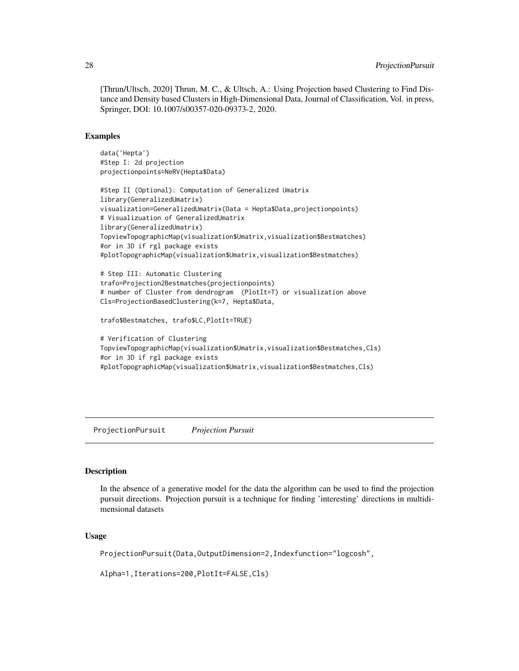[Thrun/Ultsch, 2020] Thrun, M. C., & Ultsch, A.: Using Projection based Clustering to Find Distance and Density based Clusters in High-Dimensional Data, Journal of Classification, Vol. in press, Springer, DOI: 10.1007/s00357-020-09373-2, 2020.

#### Examples

```
data('Hepta')
#Step I: 2d projection
projectionpoints=NeRV(Hepta$Data)
```

```
#Step II (Optional): Computation of Generalized Umatrix
library(GeneralizedUmatrix)
visualization=GeneralizedUmatrix(Data = Hepta$Data,projectionpoints)
# Visualizuation of GeneralizedUmatrix
library(GeneralizedUmatrix)
TopviewTopographicMap(visualization$Umatrix,visualization$Bestmatches)
#or in 3D if rgl package exists
#plotTopographicMap(visualization$Umatrix,visualization$Bestmatches)
```

```
# Step III: Automatic Clustering
trafo=Projection2Bestmatches(projectionpoints)
# number of Cluster from dendrogram (PlotIt=T) or visualization above
Cls=ProjectionBasedClustering(k=7, Hepta$Data,
```

```
trafo$Bestmatches, trafo$LC,PlotIt=TRUE)
```

```
# Verification of Clustering
TopviewTopographicMap(visualization$Umatrix,visualization$Bestmatches,Cls)
#or in 3D if rgl package exists
#plotTopographicMap(visualization$Umatrix,visualization$Bestmatches,Cls)
```
ProjectionPursuit *Projection Pursuit*

#### Description

In the absence of a generative model for the data the algorithm can be used to find the projection pursuit directions. Projection pursuit is a technique for finding 'interesting' directions in multidimensional datasets

#### Usage

ProjectionPursuit(Data,OutputDimension=2,Indexfunction="logcosh",

Alpha=1,Iterations=200,PlotIt=FALSE,Cls)

<span id="page-27-0"></span>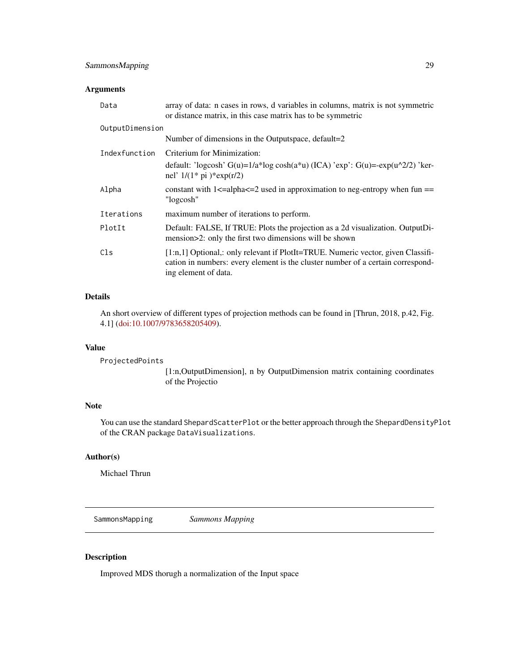# <span id="page-28-0"></span>SammonsMapping 29

# Arguments

| Data            | array of data: n cases in rows, d variables in columns, matrix is not symmetric<br>or distance matrix, in this case matrix has to be symmetric                                                |  |
|-----------------|-----------------------------------------------------------------------------------------------------------------------------------------------------------------------------------------------|--|
| OutputDimension |                                                                                                                                                                                               |  |
|                 | Number of dimensions in the Outputspace, default=2                                                                                                                                            |  |
| Indexfunction   | Criterium for Minimization:                                                                                                                                                                   |  |
|                 | default: 'logcosh' G(u)= $1/a$ *log cosh(a*u) (ICA) 'exp': G(u)=-exp(u^2/2) 'ker-<br>nel' $1/(1 * pi) * exp(r/2)$                                                                             |  |
| Alpha           | constant with $1 \le a$ -alpha $\le -2$ used in approximation to neg-entropy when fun ==<br>"logcosh"                                                                                         |  |
| Iterations      | maximum number of iterations to perform.                                                                                                                                                      |  |
| PlotIt          | Default: FALSE, If TRUE: Plots the projection as a 2d visualization. OutputDi-<br>mension>2: only the first two dimensions will be shown                                                      |  |
| Cls             | $[1:n,1]$ Optional,: only relevant if PlotIt=TRUE. Numeric vector, given Classifi-<br>cation in numbers: every element is the cluster number of a certain correspond-<br>ing element of data. |  |

# Details

An short overview of different types of projection methods can be found in [Thrun, 2018, p.42, Fig. 4.1] [\(doi:10.1007/9783658205409\)](https://doi.org/10.1007/978-3-658-20540-9).

#### Value

ProjectedPoints

[1:n,OutputDimension], n by OutputDimension matrix containing coordinates of the Projectio

# Note

You can use the standard ShepardScatterPlot or the better approach through the ShepardDensityPlot of the CRAN package DataVisualizations.

# Author(s)

Michael Thrun

SammonsMapping *Sammons Mapping*

# Description

Improved MDS thorugh a normalization of the Input space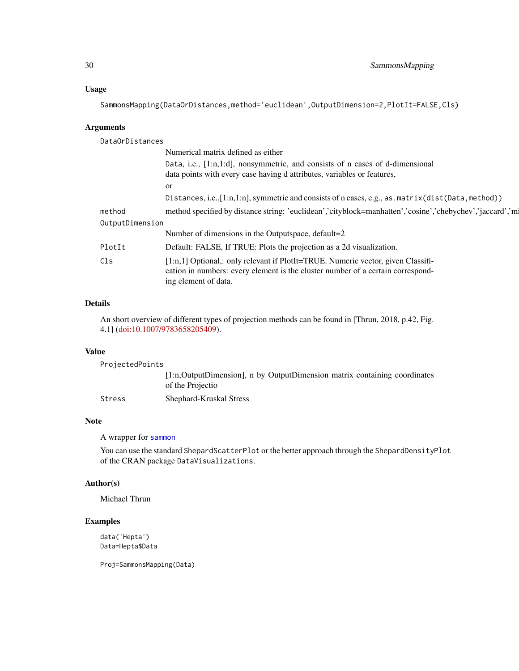# <span id="page-29-0"></span>Usage

SammonsMapping(DataOrDistances,method='euclidean',OutputDimension=2,PlotIt=FALSE,Cls)

# Arguments

DataOrDistances

|                 | Numerical matrix defined as either                                                                                                                                                          |
|-----------------|---------------------------------------------------------------------------------------------------------------------------------------------------------------------------------------------|
|                 | Data, i.e., [1:n,1:d], nonsymmetric, and consists of n cases of d-dimensional<br>data points with every case having d attributes, variables or features,                                    |
|                 | <sub>or</sub>                                                                                                                                                                               |
|                 | Distances, i.e., [1:n, 1:n], symmetric and consists of n cases, e.g., as . matrix (dist (Data, method))                                                                                     |
| method          | method specified by distance string: 'euclidean','cityblock=manhatten','cosine','chebychev','jaccard','m                                                                                    |
| OutputDimension |                                                                                                                                                                                             |
|                 | Number of dimensions in the Outputspace, default=2                                                                                                                                          |
| PlotIt          | Default: FALSE, If TRUE: Plots the projection as a 2d visualization.                                                                                                                        |
| Cls             | [1:n,1] Optional,: only relevant if PlotIt=TRUE. Numeric vector, given Classifi-<br>cation in numbers: every element is the cluster number of a certain correspond-<br>ing element of data. |
|                 |                                                                                                                                                                                             |

# Details

An short overview of different types of projection methods can be found in [Thrun, 2018, p.42, Fig. 4.1] [\(doi:10.1007/9783658205409\)](https://doi.org/10.1007/978-3-658-20540-9).

# Value

ProjectedPoints [1:n,OutputDimension], n by OutputDimension matrix containing coordinates of the Projectio Stress Shephard-Kruskal Stress

# Note

A wrapper for [sammon](#page-0-0)

You can use the standard ShepardScatterPlot or the better approach through the ShepardDensityPlot of the CRAN package DataVisualizations.

#### Author(s)

Michael Thrun

# Examples

data('Hepta') Data=Hepta\$Data

Proj=SammonsMapping(Data)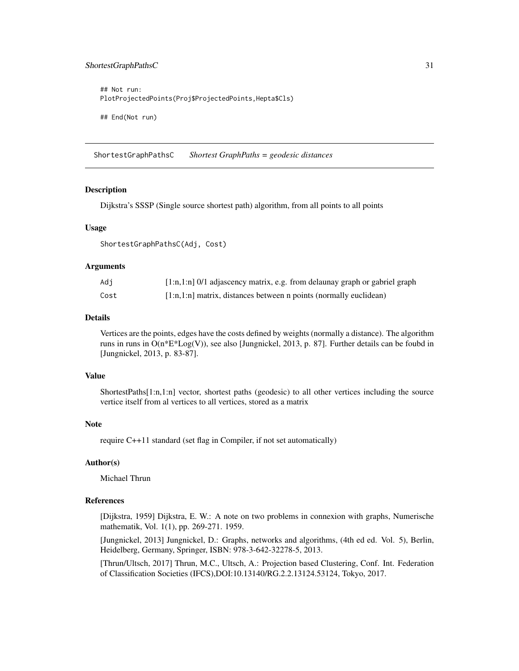# <span id="page-30-0"></span>ShortestGraphPathsC 31

```
## Not run:
PlotProjectedPoints(Proj$ProjectedPoints,Hepta$Cls)
## End(Not run)
```
ShortestGraphPathsC *Shortest GraphPaths = geodesic distances*

#### **Description**

Dijkstra's SSSP (Single source shortest path) algorithm, from all points to all points

#### Usage

ShortestGraphPathsC(Adj, Cost)

#### Arguments

| Adi  | $[1:n,1:n]$ 0/1 adjascency matrix, e.g. from delaunay graph or gabriel graph |
|------|------------------------------------------------------------------------------|
| Cost | $[1:n,1:n]$ matrix, distances between n points (normally euclidean)          |

#### Details

Vertices are the points, edges have the costs defined by weights (normally a distance). The algorithm runs in runs in O(n\*E\*Log(V)), see also [Jungnickel, 2013, p. 87]. Further details can be foubd in [Jungnickel, 2013, p. 83-87].

#### Value

ShortestPaths[1:n,1:n] vector, shortest paths (geodesic) to all other vertices including the source vertice itself from al vertices to all vertices, stored as a matrix

#### Note

require C++11 standard (set flag in Compiler, if not set automatically)

#### Author(s)

Michael Thrun

#### References

[Dijkstra, 1959] Dijkstra, E. W.: A note on two problems in connexion with graphs, Numerische mathematik, Vol. 1(1), pp. 269-271. 1959.

[Jungnickel, 2013] Jungnickel, D.: Graphs, networks and algorithms, (4th ed ed. Vol. 5), Berlin, Heidelberg, Germany, Springer, ISBN: 978-3-642-32278-5, 2013.

[Thrun/Ultsch, 2017] Thrun, M.C., Ultsch, A.: Projection based Clustering, Conf. Int. Federation of Classification Societies (IFCS),DOI:10.13140/RG.2.2.13124.53124, Tokyo, 2017.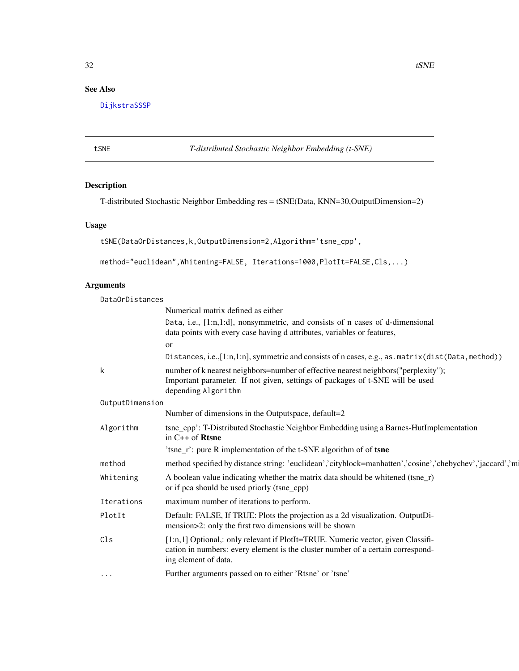# <span id="page-31-0"></span>See Also

[DijkstraSSSP](#page-7-1)

tSNE *T-distributed Stochastic Neighbor Embedding (t-SNE)*

# Description

T-distributed Stochastic Neighbor Embedding res = tSNE(Data, KNN=30,OutputDimension=2)

# Usage

```
tSNE(DataOrDistances,k,OutputDimension=2,Algorithm='tsne_cpp',
```

```
method="euclidean",Whitening=FALSE, Iterations=1000,PlotIt=FALSE,Cls,...)
```
# Arguments

| DataOrDistances |                                                                                                                                                                                             |  |  |
|-----------------|---------------------------------------------------------------------------------------------------------------------------------------------------------------------------------------------|--|--|
|                 | Numerical matrix defined as either                                                                                                                                                          |  |  |
|                 | Data, i.e., [1:n,1:d], nonsymmetric, and consists of n cases of d-dimensional<br>data points with every case having d attributes, variables or features,                                    |  |  |
|                 | or                                                                                                                                                                                          |  |  |
|                 | Distances, i.e., [1:n, 1:n], symmetric and consists of n cases, e.g., as . matrix (dist (Data, method))                                                                                     |  |  |
| k               | number of k nearest neighbors=number of effective nearest neighbors("perplexity");<br>Important parameter. If not given, settings of packages of t-SNE will be used<br>depending Algorithm  |  |  |
| OutputDimension |                                                                                                                                                                                             |  |  |
|                 | Number of dimensions in the Outputspace, default=2                                                                                                                                          |  |  |
| Algorithm       | tsne_cpp': T-Distributed Stochastic Neighbor Embedding using a Barnes-HutImplementation<br>in $C++$ of Rtsne                                                                                |  |  |
|                 | 'tsne_r': pure R implementation of the t-SNE algorithm of of tsne                                                                                                                           |  |  |
| method          | method specified by distance string: 'euclidean','cityblock=manhatten','cosine','chebychev','jaccard','m                                                                                    |  |  |
| Whitening       | A boolean value indicating whether the matrix data should be whitened (tsne_r)<br>or if pca should be used priorly (tsne_cpp)                                                               |  |  |
| Iterations      | maximum number of iterations to perform.                                                                                                                                                    |  |  |
| PlotIt          | Default: FALSE, If TRUE: Plots the projection as a 2d visualization. OutputDi-<br>mension>2: only the first two dimensions will be shown                                                    |  |  |
| Cls             | [1:n,1] Optional,: only relevant if PlotIt=TRUE. Numeric vector, given Classifi-<br>cation in numbers: every element is the cluster number of a certain correspond-<br>ing element of data. |  |  |
| $\cdots$        | Further arguments passed on to either 'Rtsne' or 'tsne'                                                                                                                                     |  |  |
|                 |                                                                                                                                                                                             |  |  |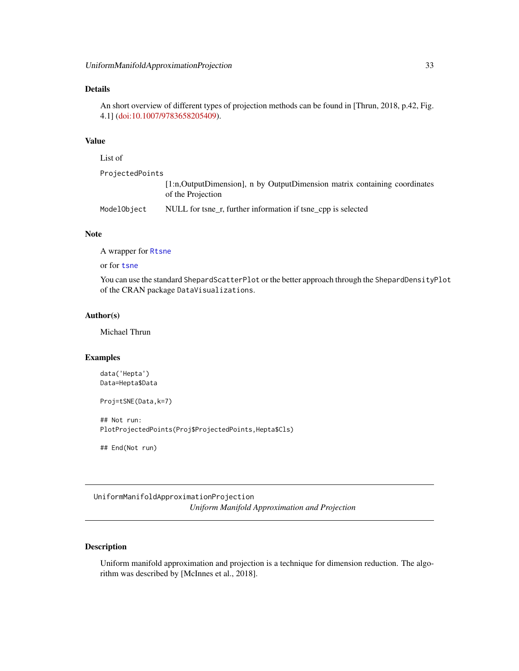#### <span id="page-32-0"></span>Details

An short overview of different types of projection methods can be found in [Thrun, 2018, p.42, Fig. 4.1] [\(doi:10.1007/9783658205409\)](https://doi.org/10.1007/978-3-658-20540-9).

#### Value

```
List of
ProjectedPoints
                 [1:n,OutputDimension], n by OutputDimension matrix containing coordinates
                  of the Projection
ModelObject NULL for tsne_r, further information if tsne_cpp is selected
```
#### Note

A wrapper for [Rtsne](#page-0-0)

or for [tsne](#page-0-0)

You can use the standard ShepardScatterPlot or the better approach through the ShepardDensityPlot of the CRAN package DataVisualizations.

#### Author(s)

Michael Thrun

#### Examples

```
data('Hepta')
Data=Hepta$Data
```

```
Proj=tSNE(Data,k=7)
```
## Not run: PlotProjectedPoints(Proj\$ProjectedPoints,Hepta\$Cls)

## End(Not run)

UniformManifoldApproximationProjection *Uniform Manifold Approximation and Projection*

# Description

Uniform manifold approximation and projection is a technique for dimension reduction. The algorithm was described by [McInnes et al., 2018].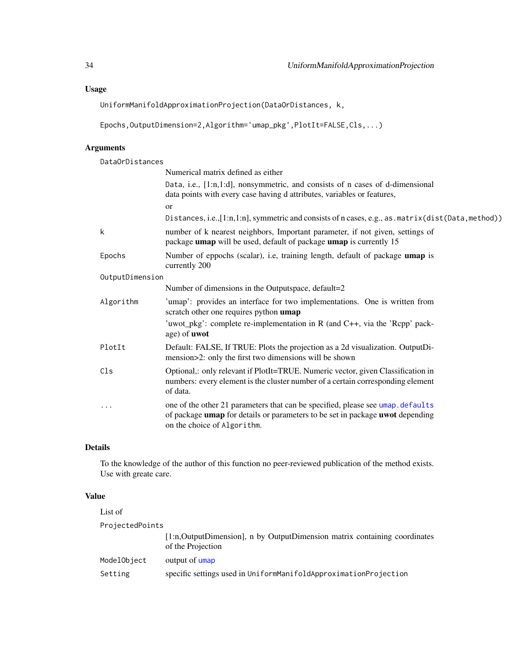# <span id="page-33-0"></span>Usage

UniformManifoldApproximationProjection(DataOrDistances, k,

```
Epochs,OutputDimension=2,Algorithm='umap_pkg',PlotIt=FALSE,Cls,...)
```
# Arguments

DataOrDistances

|                 | Numerical matrix defined as either                                                                                                                                                             |
|-----------------|------------------------------------------------------------------------------------------------------------------------------------------------------------------------------------------------|
|                 | Data, i.e., [1:n,1:d], nonsymmetric, and consists of n cases of d-dimensional<br>data points with every case having d attributes, variables or features,                                       |
|                 | or                                                                                                                                                                                             |
|                 | Distances, i.e., [1:n,1:n], symmetric and consists of n cases, e.g., as . matrix (dist (Data, method))                                                                                         |
| k               | number of k nearest neighbors, Important parameter, if not given, settings of<br>package umap will be used, default of package umap is currently 15                                            |
| Epochs          | Number of eppochs (scalar), i.e, training length, default of package umap is<br>currently 200                                                                                                  |
| OutputDimension |                                                                                                                                                                                                |
|                 | Number of dimensions in the Outputspace, default=2                                                                                                                                             |
| Algorithm       | 'umap': provides an interface for two implementations. One is written from<br>scratch other one requires python umap                                                                           |
|                 | 'uwot_pkg': complete re-implementation in R (and C++, via the 'Rcpp' pack-<br>age) of <b>uwot</b>                                                                                              |
| PlotIt          | Default: FALSE, If TRUE: Plots the projection as a 2d visualization. OutputDi-<br>mension>2: only the first two dimensions will be shown                                                       |
| Cls             | Optional,: only relevant if PlotIt=TRUE. Numeric vector, given Classification in<br>numbers: every element is the cluster number of a certain corresponding element<br>of data.                |
| .               | one of the other 21 parameters that can be specified, please see umap.defaults<br>of package umap for details or parameters to be set in package uwot depending<br>on the choice of Algorithm. |

# Details

To the knowledge of the author of this function no peer-reviewed publication of the method exists. Use with greate care.

# Value

| List of         |                                                                                                 |
|-----------------|-------------------------------------------------------------------------------------------------|
| ProjectedPoints |                                                                                                 |
|                 | [1:n, OutputDimension], n by OutputDimension matrix containing coordinates<br>of the Projection |
| ModelObject     | output of umap                                                                                  |
| Setting         | specific settings used in UniformManifoldApproximationProjection                                |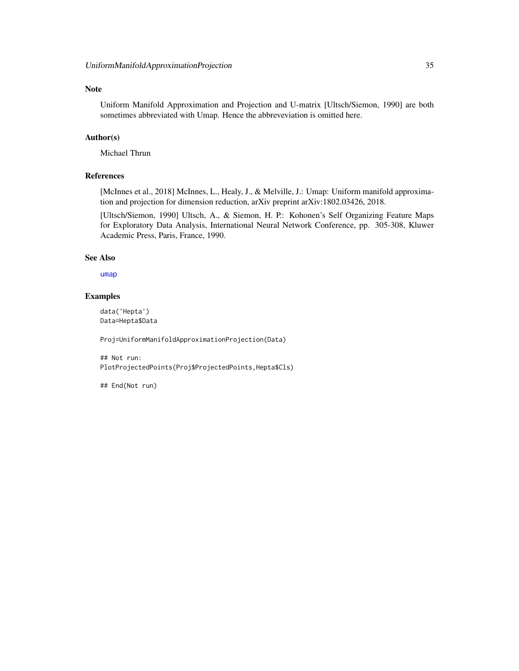#### <span id="page-34-0"></span>Note

Uniform Manifold Approximation and Projection and U-matrix [Ultsch/Siemon, 1990] are both sometimes abbreviated with Umap. Hence the abbreveviation is omitted here.

#### Author(s)

Michael Thrun

# References

[McInnes et al., 2018] McInnes, L., Healy, J., & Melville, J.: Umap: Uniform manifold approximation and projection for dimension reduction, arXiv preprint arXiv:1802.03426, 2018.

[Ultsch/Siemon, 1990] Ultsch, A., & Siemon, H. P.: Kohonen's Self Organizing Feature Maps for Exploratory Data Analysis, International Neural Network Conference, pp. 305-308, Kluwer Academic Press, Paris, France, 1990.

#### See Also

[umap](#page-0-0)

#### Examples

data('Hepta') Data=Hepta\$Data

Proj=UniformManifoldApproximationProjection(Data)

## Not run: PlotProjectedPoints(Proj\$ProjectedPoints,Hepta\$Cls)

## End(Not run)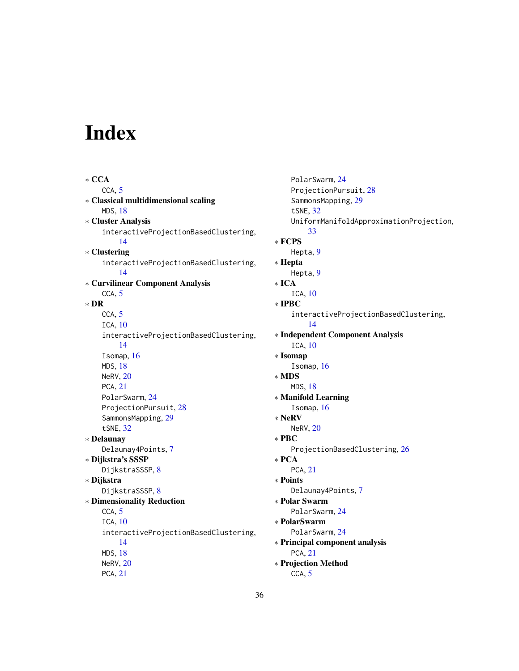# <span id="page-35-0"></span>Index

∗ CCA CCA, [5](#page-4-0) ∗ Classical multidimensional scaling MDS, [18](#page-17-0) ∗ Cluster Analysis interactiveProjectionBasedClustering, [14](#page-13-0) ∗ Clustering interactiveProjectionBasedClustering, [14](#page-13-0) ∗ Curvilinear Component Analysis CCA, [5](#page-4-0) ∗ DR CCA, [5](#page-4-0) ICA, [10](#page-9-0) interactiveProjectionBasedClustering, [14](#page-13-0) Isomap, [16](#page-15-0) MDS, [18](#page-17-0) NeRV, [20](#page-19-0) PCA, [21](#page-20-0) PolarSwarm, [24](#page-23-0) ProjectionPursuit, [28](#page-27-0) SammonsMapping, [29](#page-28-0) tSNE, [32](#page-31-0) ∗ Delaunay Delaunay4Points, [7](#page-6-0) ∗ Dijkstra's SSSP DijkstraSSSP, [8](#page-7-0) ∗ Dijkstra DijkstraSSSP, [8](#page-7-0) ∗ Dimensionality Reduction CCA, [5](#page-4-0) ICA, [10](#page-9-0) interactiveProjectionBasedClustering, [14](#page-13-0) MDS, [18](#page-17-0) NeRV, [20](#page-19-0) PCA, [21](#page-20-0)

PolarSwarm, [24](#page-23-0) ProjectionPursuit, [28](#page-27-0) SammonsMapping, [29](#page-28-0) tSNE, [32](#page-31-0) UniformManifoldApproximationProjection, [33](#page-32-0) ∗ FCPS Hepta, [9](#page-8-0) ∗ Hepta Hepta, [9](#page-8-0) ∗ ICA ICA, [10](#page-9-0) ∗ IPBC interactiveProjectionBasedClustering, [14](#page-13-0) ∗ Independent Component Analysis ICA, [10](#page-9-0) ∗ Isomap Isomap, [16](#page-15-0) ∗ MDS MDS, [18](#page-17-0) ∗ Manifold Learning Isomap, [16](#page-15-0) ∗ NeRV NeRV, [20](#page-19-0) ∗ PBC ProjectionBasedClustering, [26](#page-25-0) ∗ PCA PCA, [21](#page-20-0) ∗ Points Delaunay4Points, [7](#page-6-0) ∗ Polar Swarm PolarSwarm, [24](#page-23-0) ∗ PolarSwarm PolarSwarm, [24](#page-23-0) ∗ Principal component analysis PCA, [21](#page-20-0) ∗ Projection Method CCA, [5](#page-4-0)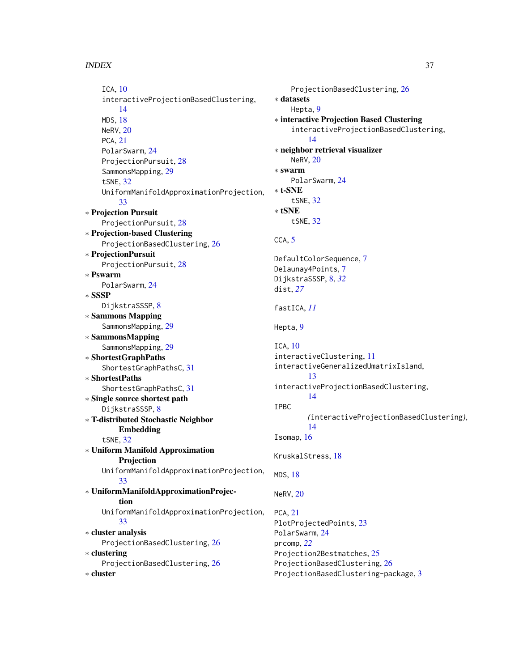∗ cluster

ICA, [10](#page-9-0) interactiveProjectionBasedClustering, [14](#page-13-0) MDS, [18](#page-17-0) NeRV, [20](#page-19-0) PCA, [21](#page-20-0) PolarSwarm, [24](#page-23-0) ProjectionPursuit, [28](#page-27-0) SammonsMapping, [29](#page-28-0) tSNE, [32](#page-31-0) UniformManifoldApproximationProjection, [33](#page-32-0) ∗ Projection Pursuit ProjectionPursuit, [28](#page-27-0) ∗ Projection-based Clustering ProjectionBasedClustering, [26](#page-25-0) ∗ ProjectionPursuit ProjectionPursuit, [28](#page-27-0) ∗ Pswarm PolarSwarm, [24](#page-23-0) ∗ SSSP DijkstraSSSP, [8](#page-7-0) ∗ Sammons Mapping SammonsMapping, [29](#page-28-0) ∗ SammonsMapping SammonsMapping, [29](#page-28-0) ∗ ShortestGraphPaths ShortestGraphPathsC, [31](#page-30-0) ∗ ShortestPaths ShortestGraphPathsC, [31](#page-30-0) ∗ Single source shortest path DijkstraSSSP, [8](#page-7-0) ∗ T-distributed Stochastic Neighbor Embedding tSNE, [32](#page-31-0) ∗ Uniform Manifold Approximation Projection UniformManifoldApproximationProjection, [33](#page-32-0) ∗ UniformManifoldApproximationProjection UniformManifoldApproximationProjection, [33](#page-32-0) ∗ cluster analysis ProjectionBasedClustering, [26](#page-25-0) ∗ clustering ProjectionBasedClustering, [26](#page-25-0) ProjectionBasedClustering, [26](#page-25-0)

```
ProjectionBasedClustering, 26
∗ datasets
    Hepta, 9
∗ interactive Projection Based Clustering
    interactiveProjectionBasedClustering,
         14
∗ neighbor retrieval visualizer
    NeRV, 20
∗ swarm
    PolarSwarm, 24
∗ t-SNE
    tSNE, 32
∗ tSNE
    tSNE, 32
CCA, 5
DefaultColorSequence, 7
Delaunay4Points, 7
DijkstraSSSP, 8, 32
dist, 27
fastICA, 11
Hepta, 9
ICA, 10
interactiveClustering, 11
interactiveGeneralizedUmatrixIsland,
        13
interactiveProjectionBasedClustering,
        14
IPBC
        (interactiveProjectionBasedClustering),
        14
Isomap, 16
KruskalStress, 18
MDS, 18
NeRV, 20
PCA, 21
PlotProjectedPoints, 23
PolarSwarm, 24
prcomp, 22
Projection2Bestmatches, 25
```
ProjectionBasedClustering-package, [3](#page-2-0)